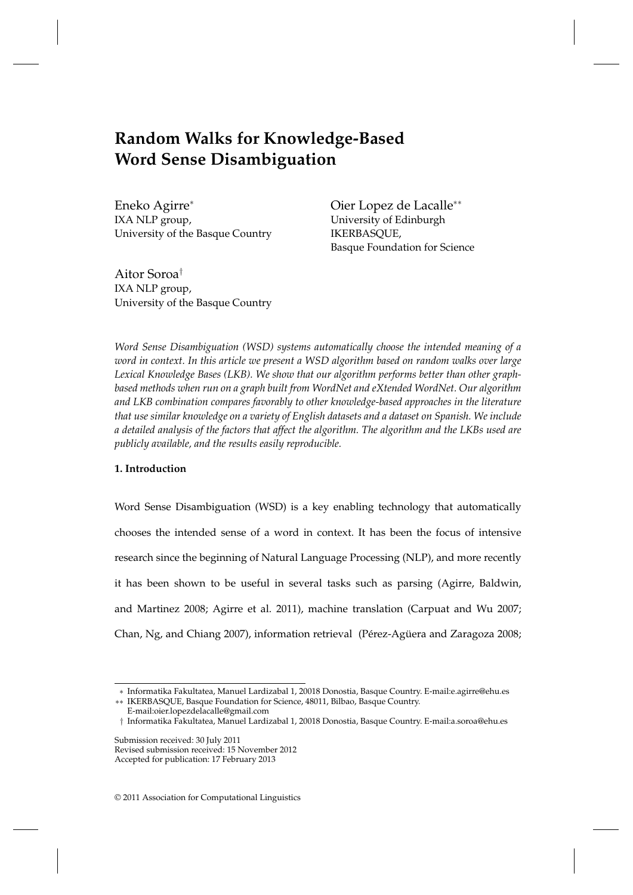# **Random Walks for Knowledge-Based Word Sense Disambiguation**

Eneko Agirre<sup>∗</sup> IXA NLP group, University of the Basque Country Oier Lopez de Lacalle∗∗ University of Edinburgh IKERBASQUE, Basque Foundation for Science

Aitor Soroa† IXA NLP group, University of the Basque Country

*Word Sense Disambiguation (WSD) systems automatically choose the intended meaning of a word in context. In this article we present a WSD algorithm based on random walks over large Lexical Knowledge Bases (LKB). We show that our algorithm performs better than other graphbased methods when run on a graph built from WordNet and eXtended WordNet. Our algorithm and LKB combination compares favorably to other knowledge-based approaches in the literature that use similar knowledge on a variety of English datasets and a dataset on Spanish. We include a detailed analysis of the factors that affect the algorithm. The algorithm and the LKBs used are publicly available, and the results easily reproducible.*

# **1. Introduction**

Word Sense Disambiguation (WSD) is a key enabling technology that automatically chooses the intended sense of a word in context. It has been the focus of intensive research since the beginning of Natural Language Processing (NLP), and more recently it has been shown to be useful in several tasks such as parsing (Agirre, Baldwin, and Martinez 2008; Agirre et al. 2011), machine translation (Carpuat and Wu 2007; Chan, Ng, and Chiang 2007), information retrieval (Pérez-Agüera and Zaragoza 2008;

<sup>∗</sup> Informatika Fakultatea, Manuel Lardizabal 1, 20018 Donostia, Basque Country. E-mail:e.agirre@ehu.es

<sup>∗∗</sup> IKERBASQUE, Basque Foundation for Science, 48011, Bilbao, Basque Country.

E-mail:oier.lopezdelacalle@gmail.com

<sup>†</sup> Informatika Fakultatea, Manuel Lardizabal 1, 20018 Donostia, Basque Country. E-mail:a.soroa@ehu.es

Submission received: 30 July 2011 Revised submission received: 15 November 2012 Accepted for publication: 17 February 2013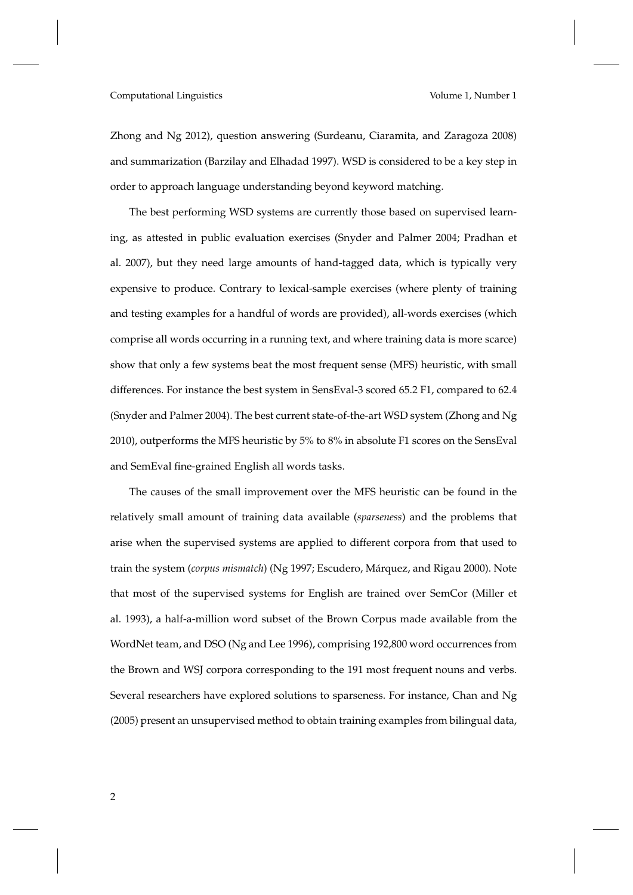Zhong and Ng 2012), question answering (Surdeanu, Ciaramita, and Zaragoza 2008) and summarization (Barzilay and Elhadad 1997). WSD is considered to be a key step in order to approach language understanding beyond keyword matching.

The best performing WSD systems are currently those based on supervised learning, as attested in public evaluation exercises (Snyder and Palmer 2004; Pradhan et al. 2007), but they need large amounts of hand-tagged data, which is typically very expensive to produce. Contrary to lexical-sample exercises (where plenty of training and testing examples for a handful of words are provided), all-words exercises (which comprise all words occurring in a running text, and where training data is more scarce) show that only a few systems beat the most frequent sense (MFS) heuristic, with small differences. For instance the best system in SensEval-3 scored 65.2 F1, compared to 62.4 (Snyder and Palmer 2004). The best current state-of-the-art WSD system (Zhong and Ng 2010), outperforms the MFS heuristic by 5% to 8% in absolute F1 scores on the SensEval and SemEval fine-grained English all words tasks.

The causes of the small improvement over the MFS heuristic can be found in the relatively small amount of training data available (*sparseness*) and the problems that arise when the supervised systems are applied to different corpora from that used to train the system (*corpus mismatch*) (Ng 1997; Escudero, Márquez, and Rigau 2000). Note that most of the supervised systems for English are trained over SemCor (Miller et al. 1993), a half-a-million word subset of the Brown Corpus made available from the WordNet team, and DSO (Ng and Lee 1996), comprising 192,800 word occurrences from the Brown and WSJ corpora corresponding to the 191 most frequent nouns and verbs. Several researchers have explored solutions to sparseness. For instance, Chan and Ng (2005) present an unsupervised method to obtain training examples from bilingual data,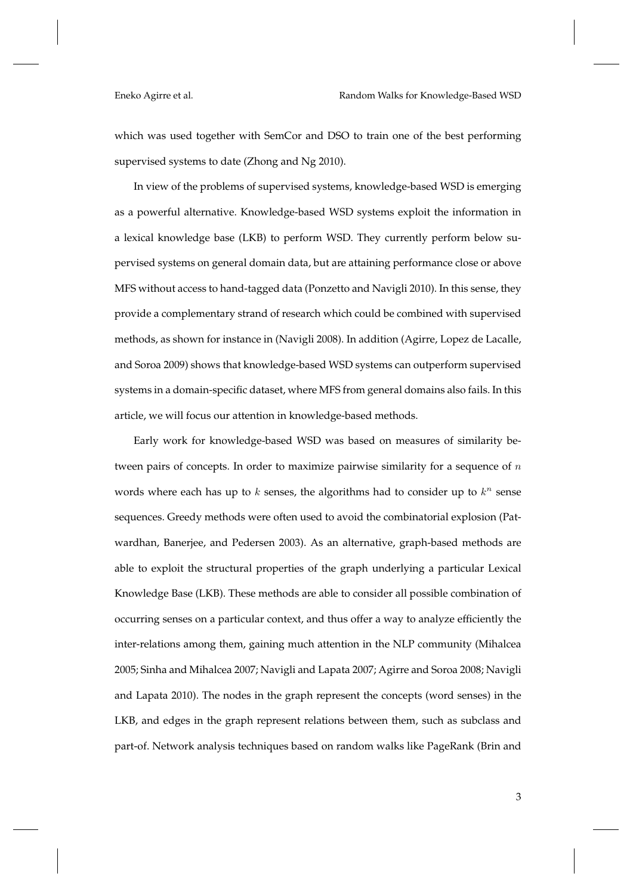which was used together with SemCor and DSO to train one of the best performing supervised systems to date (Zhong and Ng 2010).

In view of the problems of supervised systems, knowledge-based WSD is emerging as a powerful alternative. Knowledge-based WSD systems exploit the information in a lexical knowledge base (LKB) to perform WSD. They currently perform below supervised systems on general domain data, but are attaining performance close or above MFS without access to hand-tagged data (Ponzetto and Navigli 2010). In this sense, they provide a complementary strand of research which could be combined with supervised methods, as shown for instance in (Navigli 2008). In addition (Agirre, Lopez de Lacalle, and Soroa 2009) shows that knowledge-based WSD systems can outperform supervised systems in a domain-specific dataset, where MFS from general domains also fails. In this article, we will focus our attention in knowledge-based methods.

Early work for knowledge-based WSD was based on measures of similarity between pairs of concepts. In order to maximize pairwise similarity for a sequence of  $n$ words where each has up to  $k$  senses, the algorithms had to consider up to  $k^n$  sense sequences. Greedy methods were often used to avoid the combinatorial explosion (Patwardhan, Banerjee, and Pedersen 2003). As an alternative, graph-based methods are able to exploit the structural properties of the graph underlying a particular Lexical Knowledge Base (LKB). These methods are able to consider all possible combination of occurring senses on a particular context, and thus offer a way to analyze efficiently the inter-relations among them, gaining much attention in the NLP community (Mihalcea 2005; Sinha and Mihalcea 2007; Navigli and Lapata 2007; Agirre and Soroa 2008; Navigli and Lapata 2010). The nodes in the graph represent the concepts (word senses) in the LKB, and edges in the graph represent relations between them, such as subclass and part-of. Network analysis techniques based on random walks like PageRank (Brin and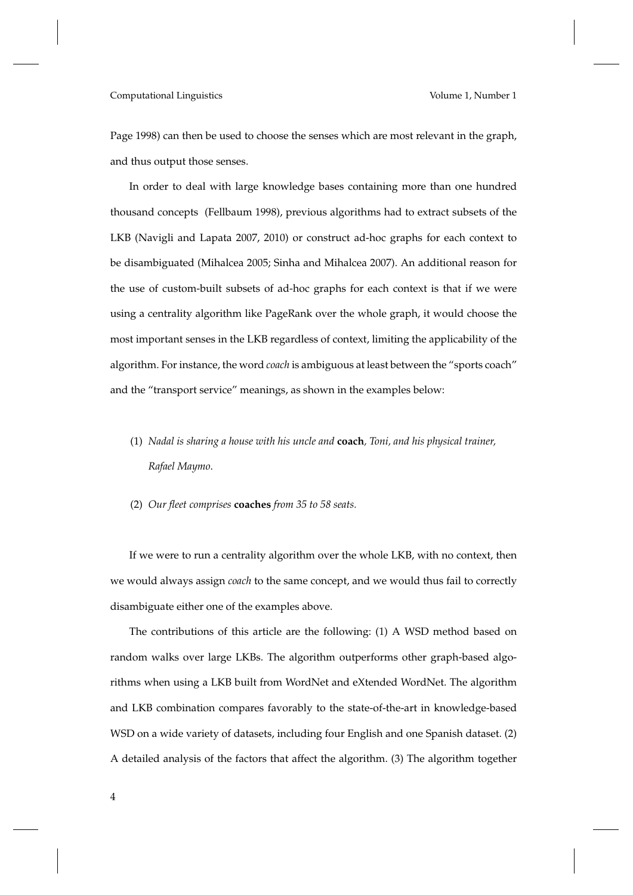Page 1998) can then be used to choose the senses which are most relevant in the graph, and thus output those senses.

In order to deal with large knowledge bases containing more than one hundred thousand concepts (Fellbaum 1998), previous algorithms had to extract subsets of the LKB (Navigli and Lapata 2007, 2010) or construct ad-hoc graphs for each context to be disambiguated (Mihalcea 2005; Sinha and Mihalcea 2007). An additional reason for the use of custom-built subsets of ad-hoc graphs for each context is that if we were using a centrality algorithm like PageRank over the whole graph, it would choose the most important senses in the LKB regardless of context, limiting the applicability of the algorithm. For instance, the word *coach* is ambiguous at least between the "sports coach" and the "transport service" meanings, as shown in the examples below:

- (1) *Nadal is sharing a house with his uncle and* **coach***, Toni, and his physical trainer, Rafael Maymo*.
- (2) *Our fleet comprises* **coaches** *from 35 to 58 seats.*

If we were to run a centrality algorithm over the whole LKB, with no context, then we would always assign *coach* to the same concept, and we would thus fail to correctly disambiguate either one of the examples above.

The contributions of this article are the following: (1) A WSD method based on random walks over large LKBs. The algorithm outperforms other graph-based algorithms when using a LKB built from WordNet and eXtended WordNet. The algorithm and LKB combination compares favorably to the state-of-the-art in knowledge-based WSD on a wide variety of datasets, including four English and one Spanish dataset. (2) A detailed analysis of the factors that affect the algorithm. (3) The algorithm together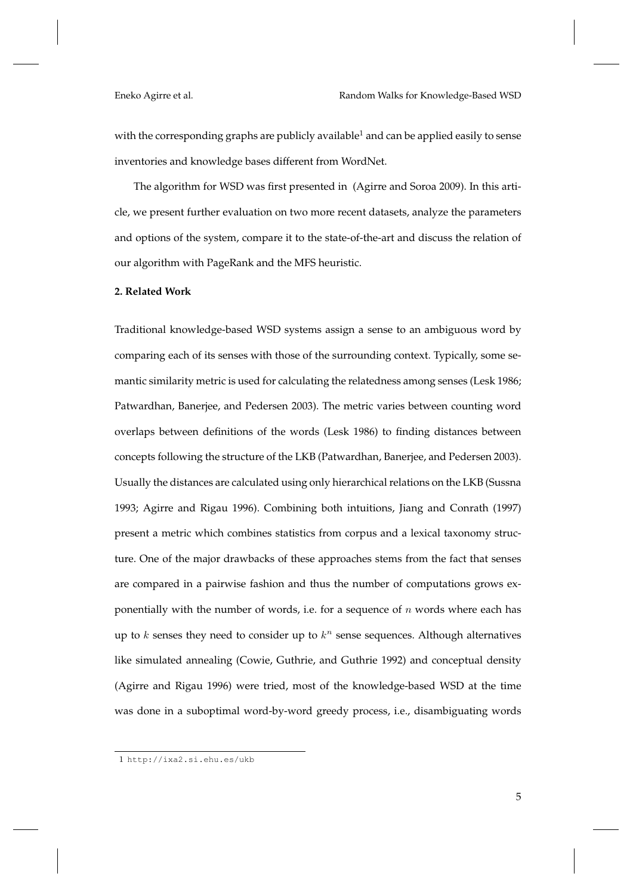with the corresponding graphs are publicly available<sup>1</sup> and can be applied easily to sense inventories and knowledge bases different from WordNet.

The algorithm for WSD was first presented in (Agirre and Soroa 2009). In this article, we present further evaluation on two more recent datasets, analyze the parameters and options of the system, compare it to the state-of-the-art and discuss the relation of our algorithm with PageRank and the MFS heuristic.

# **2. Related Work**

Traditional knowledge-based WSD systems assign a sense to an ambiguous word by comparing each of its senses with those of the surrounding context. Typically, some semantic similarity metric is used for calculating the relatedness among senses (Lesk 1986; Patwardhan, Banerjee, and Pedersen 2003). The metric varies between counting word overlaps between definitions of the words (Lesk 1986) to finding distances between concepts following the structure of the LKB (Patwardhan, Banerjee, and Pedersen 2003). Usually the distances are calculated using only hierarchical relations on the LKB (Sussna 1993; Agirre and Rigau 1996). Combining both intuitions, Jiang and Conrath (1997) present a metric which combines statistics from corpus and a lexical taxonomy structure. One of the major drawbacks of these approaches stems from the fact that senses are compared in a pairwise fashion and thus the number of computations grows exponentially with the number of words, i.e. for a sequence of  $n$  words where each has up to  $k$  senses they need to consider up to  $k^n$  sense sequences. Although alternatives like simulated annealing (Cowie, Guthrie, and Guthrie 1992) and conceptual density (Agirre and Rigau 1996) were tried, most of the knowledge-based WSD at the time was done in a suboptimal word-by-word greedy process, i.e., disambiguating words

<sup>1</sup> http://ixa2.si.ehu.es/ukb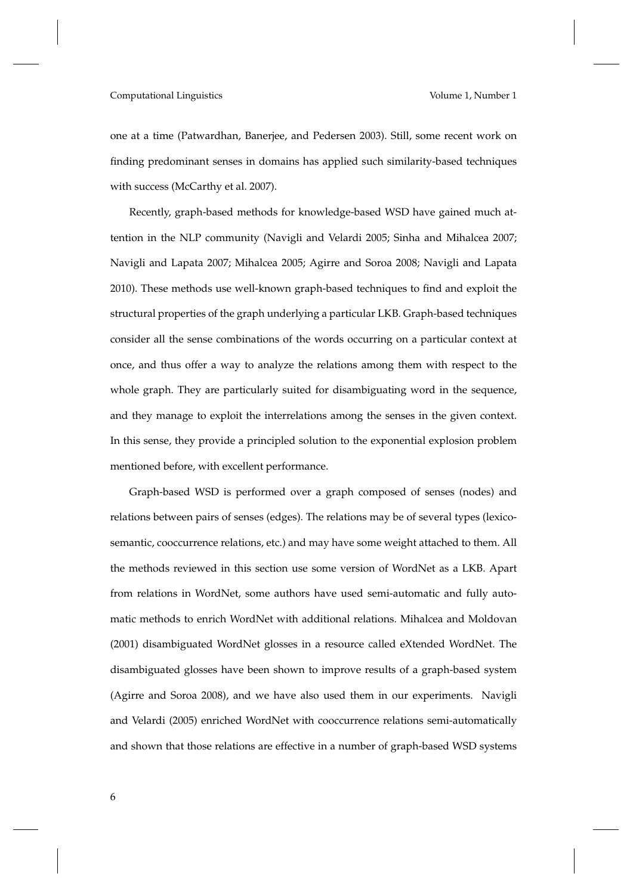one at a time (Patwardhan, Banerjee, and Pedersen 2003). Still, some recent work on finding predominant senses in domains has applied such similarity-based techniques with success (McCarthy et al. 2007).

Recently, graph-based methods for knowledge-based WSD have gained much attention in the NLP community (Navigli and Velardi 2005; Sinha and Mihalcea 2007; Navigli and Lapata 2007; Mihalcea 2005; Agirre and Soroa 2008; Navigli and Lapata 2010). These methods use well-known graph-based techniques to find and exploit the structural properties of the graph underlying a particular LKB. Graph-based techniques consider all the sense combinations of the words occurring on a particular context at once, and thus offer a way to analyze the relations among them with respect to the whole graph. They are particularly suited for disambiguating word in the sequence, and they manage to exploit the interrelations among the senses in the given context. In this sense, they provide a principled solution to the exponential explosion problem mentioned before, with excellent performance.

Graph-based WSD is performed over a graph composed of senses (nodes) and relations between pairs of senses (edges). The relations may be of several types (lexicosemantic, cooccurrence relations, etc.) and may have some weight attached to them. All the methods reviewed in this section use some version of WordNet as a LKB. Apart from relations in WordNet, some authors have used semi-automatic and fully automatic methods to enrich WordNet with additional relations. Mihalcea and Moldovan (2001) disambiguated WordNet glosses in a resource called eXtended WordNet. The disambiguated glosses have been shown to improve results of a graph-based system (Agirre and Soroa 2008), and we have also used them in our experiments. Navigli and Velardi (2005) enriched WordNet with cooccurrence relations semi-automatically and shown that those relations are effective in a number of graph-based WSD systems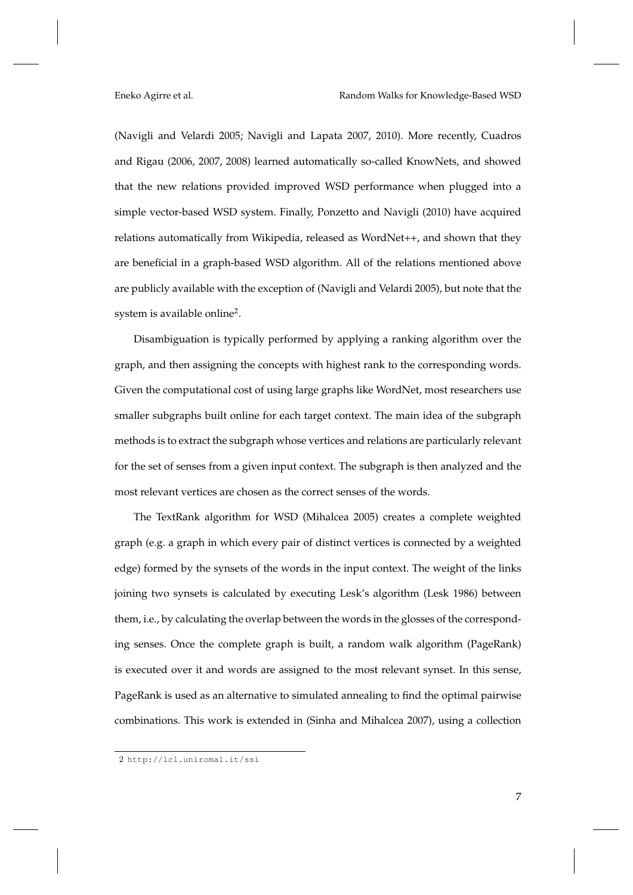(Navigli and Velardi 2005; Navigli and Lapata 2007, 2010). More recently, Cuadros and Rigau (2006, 2007, 2008) learned automatically so-called KnowNets, and showed that the new relations provided improved WSD performance when plugged into a simple vector-based WSD system. Finally, Ponzetto and Navigli (2010) have acquired relations automatically from Wikipedia, released as WordNet++, and shown that they are beneficial in a graph-based WSD algorithm. All of the relations mentioned above are publicly available with the exception of (Navigli and Velardi 2005), but note that the system is available online<sup>2</sup>.

Disambiguation is typically performed by applying a ranking algorithm over the graph, and then assigning the concepts with highest rank to the corresponding words. Given the computational cost of using large graphs like WordNet, most researchers use smaller subgraphs built online for each target context. The main idea of the subgraph methods is to extract the subgraph whose vertices and relations are particularly relevant for the set of senses from a given input context. The subgraph is then analyzed and the most relevant vertices are chosen as the correct senses of the words.

The TextRank algorithm for WSD (Mihalcea 2005) creates a complete weighted graph (e.g. a graph in which every pair of distinct vertices is connected by a weighted edge) formed by the synsets of the words in the input context. The weight of the links joining two synsets is calculated by executing Lesk's algorithm (Lesk 1986) between them, i.e., by calculating the overlap between the words in the glosses of the corresponding senses. Once the complete graph is built, a random walk algorithm (PageRank) is executed over it and words are assigned to the most relevant synset. In this sense, PageRank is used as an alternative to simulated annealing to find the optimal pairwise combinations. This work is extended in (Sinha and Mihalcea 2007), using a collection

<sup>2</sup> http://lcl.uniroma1.it/ssi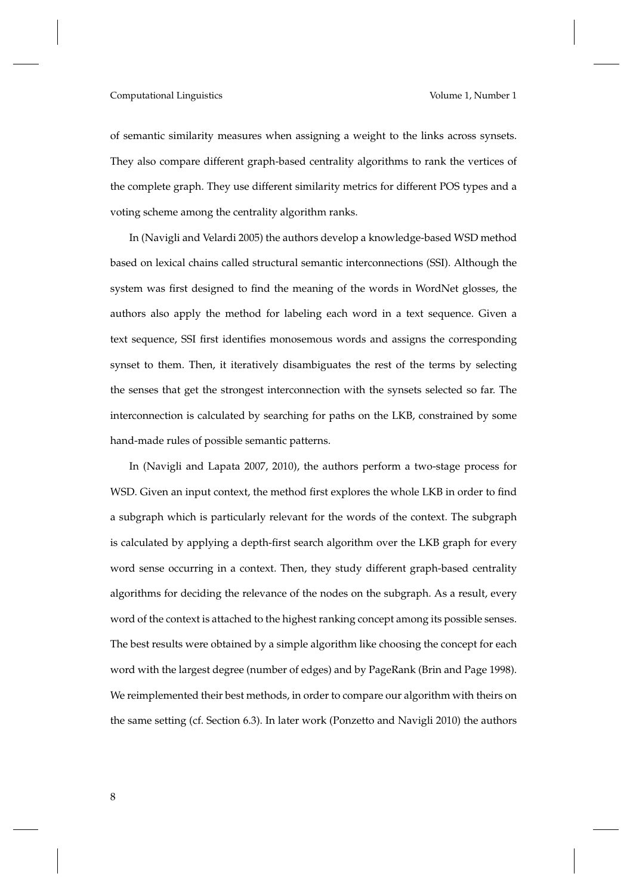of semantic similarity measures when assigning a weight to the links across synsets. They also compare different graph-based centrality algorithms to rank the vertices of the complete graph. They use different similarity metrics for different POS types and a voting scheme among the centrality algorithm ranks.

In (Navigli and Velardi 2005) the authors develop a knowledge-based WSD method based on lexical chains called structural semantic interconnections (SSI). Although the system was first designed to find the meaning of the words in WordNet glosses, the authors also apply the method for labeling each word in a text sequence. Given a text sequence, SSI first identifies monosemous words and assigns the corresponding synset to them. Then, it iteratively disambiguates the rest of the terms by selecting the senses that get the strongest interconnection with the synsets selected so far. The interconnection is calculated by searching for paths on the LKB, constrained by some hand-made rules of possible semantic patterns.

In (Navigli and Lapata 2007, 2010), the authors perform a two-stage process for WSD. Given an input context, the method first explores the whole LKB in order to find a subgraph which is particularly relevant for the words of the context. The subgraph is calculated by applying a depth-first search algorithm over the LKB graph for every word sense occurring in a context. Then, they study different graph-based centrality algorithms for deciding the relevance of the nodes on the subgraph. As a result, every word of the context is attached to the highest ranking concept among its possible senses. The best results were obtained by a simple algorithm like choosing the concept for each word with the largest degree (number of edges) and by PageRank (Brin and Page 1998). We reimplemented their best methods, in order to compare our algorithm with theirs on the same setting (cf. Section 6.3). In later work (Ponzetto and Navigli 2010) the authors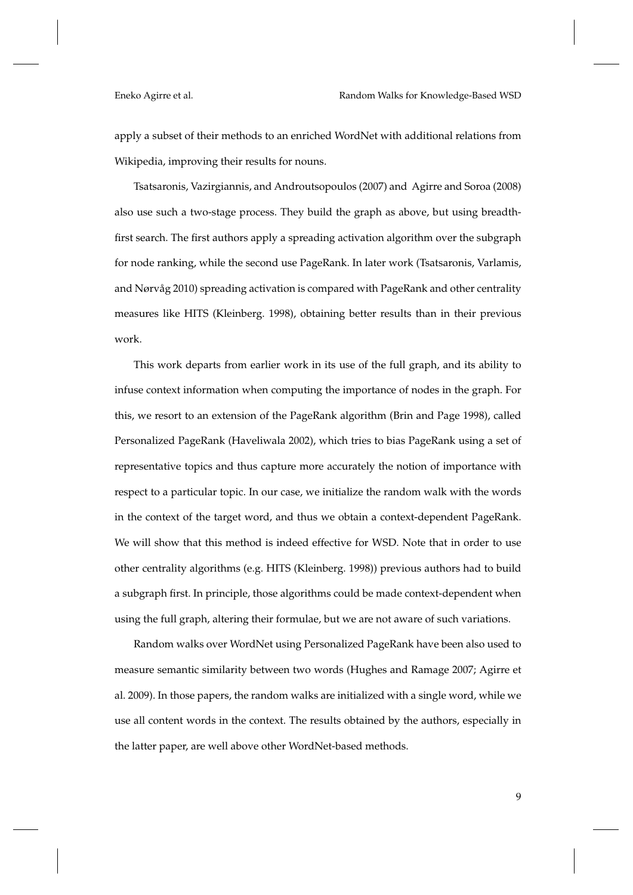apply a subset of their methods to an enriched WordNet with additional relations from Wikipedia, improving their results for nouns.

Tsatsaronis, Vazirgiannis, and Androutsopoulos (2007) and Agirre and Soroa (2008) also use such a two-stage process. They build the graph as above, but using breadthfirst search. The first authors apply a spreading activation algorithm over the subgraph for node ranking, while the second use PageRank. In later work (Tsatsaronis, Varlamis, and Nørvåg 2010) spreading activation is compared with PageRank and other centrality measures like HITS (Kleinberg. 1998), obtaining better results than in their previous work.

This work departs from earlier work in its use of the full graph, and its ability to infuse context information when computing the importance of nodes in the graph. For this, we resort to an extension of the PageRank algorithm (Brin and Page 1998), called Personalized PageRank (Haveliwala 2002), which tries to bias PageRank using a set of representative topics and thus capture more accurately the notion of importance with respect to a particular topic. In our case, we initialize the random walk with the words in the context of the target word, and thus we obtain a context-dependent PageRank. We will show that this method is indeed effective for WSD. Note that in order to use other centrality algorithms (e.g. HITS (Kleinberg. 1998)) previous authors had to build a subgraph first. In principle, those algorithms could be made context-dependent when using the full graph, altering their formulae, but we are not aware of such variations.

Random walks over WordNet using Personalized PageRank have been also used to measure semantic similarity between two words (Hughes and Ramage 2007; Agirre et al. 2009). In those papers, the random walks are initialized with a single word, while we use all content words in the context. The results obtained by the authors, especially in the latter paper, are well above other WordNet-based methods.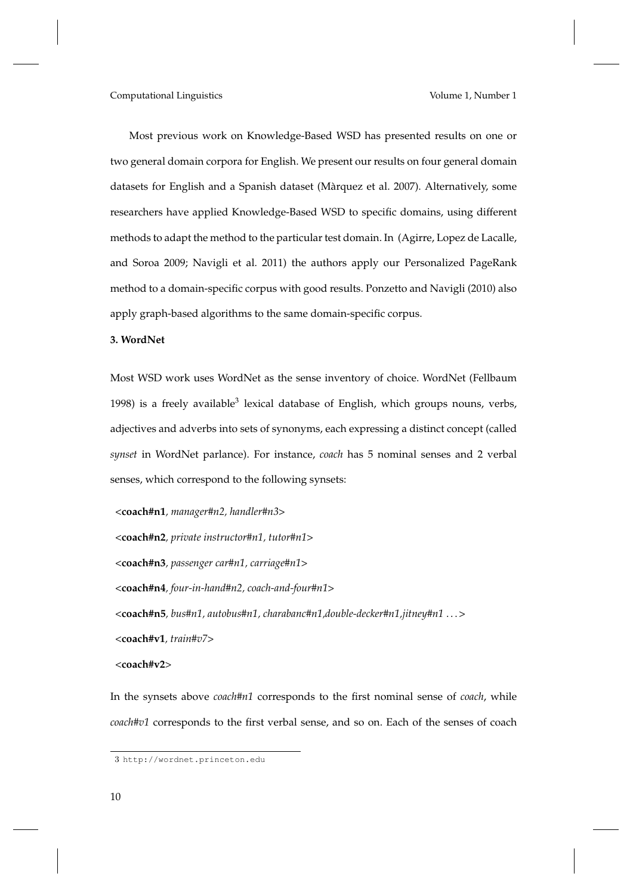Most previous work on Knowledge-Based WSD has presented results on one or two general domain corpora for English. We present our results on four general domain datasets for English and a Spanish dataset (Màrquez et al. 2007). Alternatively, some researchers have applied Knowledge-Based WSD to specific domains, using different methods to adapt the method to the particular test domain. In (Agirre, Lopez de Lacalle, and Soroa 2009; Navigli et al. 2011) the authors apply our Personalized PageRank method to a domain-specific corpus with good results. Ponzetto and Navigli (2010) also apply graph-based algorithms to the same domain-specific corpus.

# **3. WordNet**

Most WSD work uses WordNet as the sense inventory of choice. WordNet (Fellbaum 1998) is a freely available<sup>3</sup> lexical database of English, which groups nouns, verbs, adjectives and adverbs into sets of synonyms, each expressing a distinct concept (called *synset* in WordNet parlance). For instance, *coach* has 5 nominal senses and 2 verbal senses, which correspond to the following synsets:

<**coach#n1***, manager#n2, handler#n3*>

<**coach#n2***, private instructor#n1, tutor#n1*>

<**coach#n3***, passenger car#n1, carriage#n1*>

<**coach#n4***, four-in-hand#n2, coach-and-four#n1*>

<**coach#n5***, bus#n1, autobus#n1, charabanc#n1,double-decker#n1,jitney#n1* . . . >

<**coach#v1***, train#v7*>

<**coach#v2**>

In the synsets above *coach#n1* corresponds to the first nominal sense of *coach*, while *coach#v1* corresponds to the first verbal sense, and so on. Each of the senses of coach

<sup>3</sup> http://wordnet.princeton.edu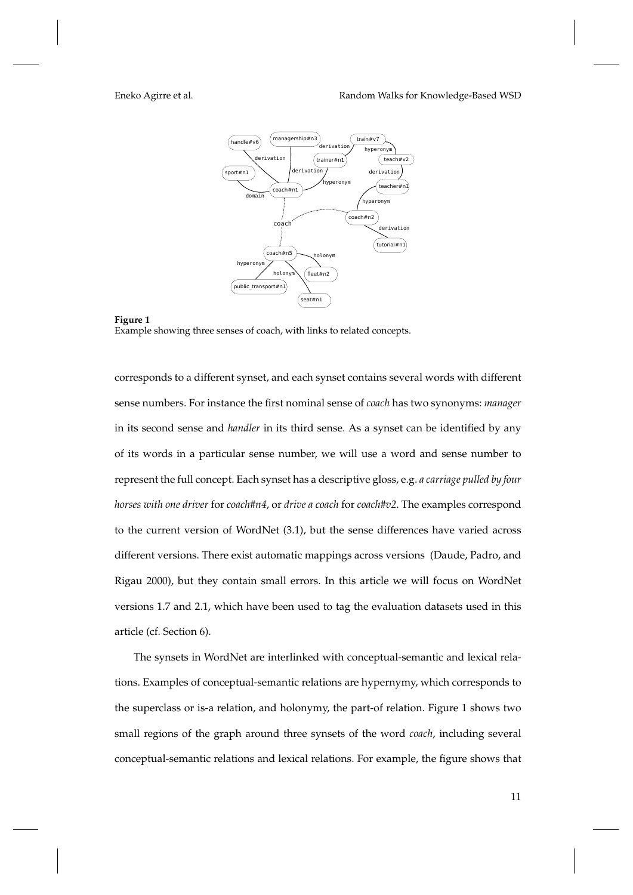

# **Figure 1** Example showing three senses of coach, with links to related concepts.

corresponds to a different synset, and each synset contains several words with different sense numbers. For instance the first nominal sense of *coach* has two synonyms: *manager* in its second sense and *handler* in its third sense. As a synset can be identified by any of its words in a particular sense number, we will use a word and sense number to represent the full concept. Each synset has a descriptive gloss, e.g. *a carriage pulled by four horses with one driver* for *coach#n4*, or *drive a coach* for *coach#v2*. The examples correspond to the current version of WordNet (3.1), but the sense differences have varied across different versions. There exist automatic mappings across versions (Daude, Padro, and Rigau 2000), but they contain small errors. In this article we will focus on WordNet versions 1.7 and 2.1, which have been used to tag the evaluation datasets used in this article (cf. Section 6).

The synsets in WordNet are interlinked with conceptual-semantic and lexical relations. Examples of conceptual-semantic relations are hypernymy, which corresponds to the superclass or is-a relation, and holonymy, the part-of relation. Figure 1 shows two small regions of the graph around three synsets of the word *coach*, including several conceptual-semantic relations and lexical relations. For example, the figure shows that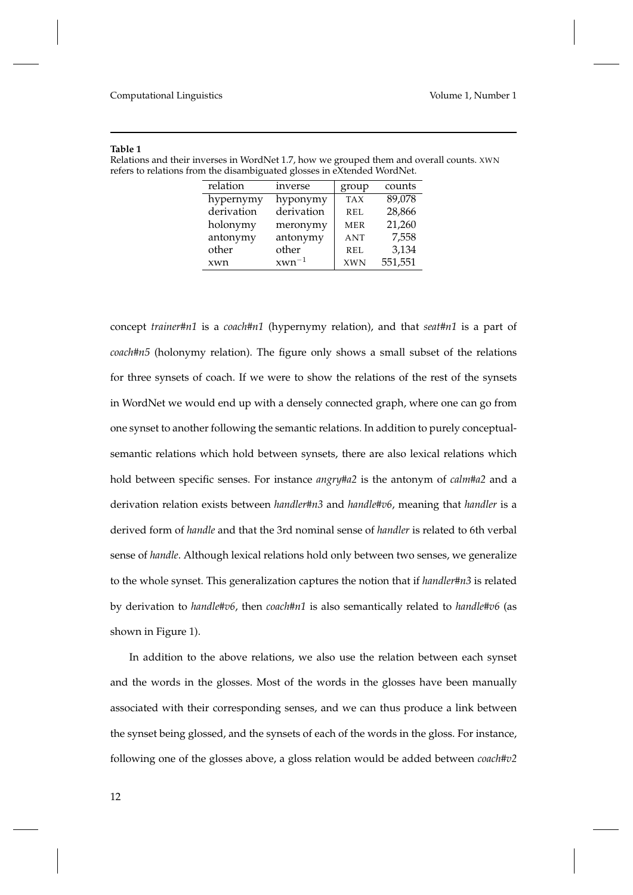# **Table 1**

| Relations and their inverses in WordNet 1.7, how we grouped them and overall counts. XWN |
|------------------------------------------------------------------------------------------|
| refers to relations from the disambiguated glosses in eXtended WordNet.                  |

| relation   | inverse    | group      | counts  |
|------------|------------|------------|---------|
| hypernymy  | hyponymy   | <b>TAX</b> | 89,078  |
| derivation | derivation | <b>REL</b> | 28,866  |
| holonymy   | meronymy   | <b>MER</b> | 21,260  |
| antonymy   | antonymy   | <b>ANT</b> | 7,558   |
| other      | other      | REL        | 3,134   |
| xwn        | $xwn^{-1}$ | <b>XWN</b> | 551,551 |

concept *trainer#n1* is a *coach#n1* (hypernymy relation), and that *seat#n1* is a part of *coach#n5* (holonymy relation). The figure only shows a small subset of the relations for three synsets of coach. If we were to show the relations of the rest of the synsets in WordNet we would end up with a densely connected graph, where one can go from one synset to another following the semantic relations. In addition to purely conceptualsemantic relations which hold between synsets, there are also lexical relations which hold between specific senses. For instance *angry#a2* is the antonym of *calm#a2* and a derivation relation exists between *handler#n3* and *handle#v6*, meaning that *handler* is a derived form of *handle* and that the 3rd nominal sense of *handler* is related to 6th verbal sense of *handle*. Although lexical relations hold only between two senses, we generalize to the whole synset. This generalization captures the notion that if *handler#n3* is related by derivation to *handle#v6*, then *coach#n1* is also semantically related to *handle#v6* (as shown in Figure 1).

In addition to the above relations, we also use the relation between each synset and the words in the glosses. Most of the words in the glosses have been manually associated with their corresponding senses, and we can thus produce a link between the synset being glossed, and the synsets of each of the words in the gloss. For instance, following one of the glosses above, a gloss relation would be added between *coach#v2*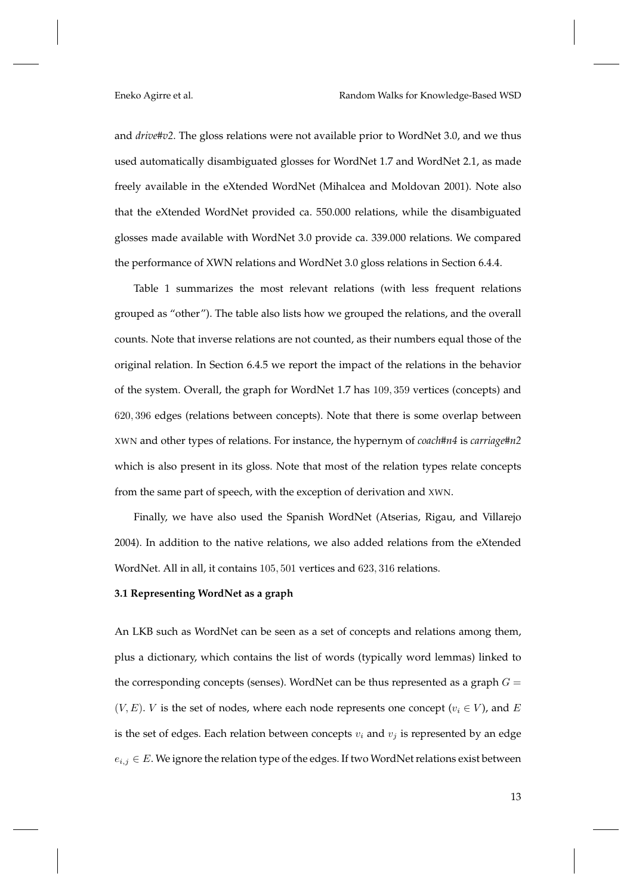and *drive#v2*. The gloss relations were not available prior to WordNet 3.0, and we thus used automatically disambiguated glosses for WordNet 1.7 and WordNet 2.1, as made freely available in the eXtended WordNet (Mihalcea and Moldovan 2001). Note also that the eXtended WordNet provided ca. 550.000 relations, while the disambiguated glosses made available with WordNet 3.0 provide ca. 339.000 relations. We compared the performance of XWN relations and WordNet 3.0 gloss relations in Section 6.4.4.

Table 1 summarizes the most relevant relations (with less frequent relations grouped as "other"). The table also lists how we grouped the relations, and the overall counts. Note that inverse relations are not counted, as their numbers equal those of the original relation. In Section 6.4.5 we report the impact of the relations in the behavior of the system. Overall, the graph for WordNet 1.7 has 109, 359 vertices (concepts) and 620, 396 edges (relations between concepts). Note that there is some overlap between XWN and other types of relations. For instance, the hypernym of *coach#n4* is *carriage#n2* which is also present in its gloss. Note that most of the relation types relate concepts from the same part of speech, with the exception of derivation and XWN.

Finally, we have also used the Spanish WordNet (Atserias, Rigau, and Villarejo 2004). In addition to the native relations, we also added relations from the eXtended WordNet. All in all, it contains 105, 501 vertices and 623, 316 relations.

# **3.1 Representing WordNet as a graph**

An LKB such as WordNet can be seen as a set of concepts and relations among them, plus a dictionary, which contains the list of words (typically word lemmas) linked to the corresponding concepts (senses). WordNet can be thus represented as a graph  $G =$  $(V, E)$ . *V* is the set of nodes, where each node represents one concept  $(v_i \in V)$ , and *E* is the set of edges. Each relation between concepts  $v_i$  and  $v_j$  is represented by an edge  $e_{i,j} \in E$ . We ignore the relation type of the edges. If two WordNet relations exist between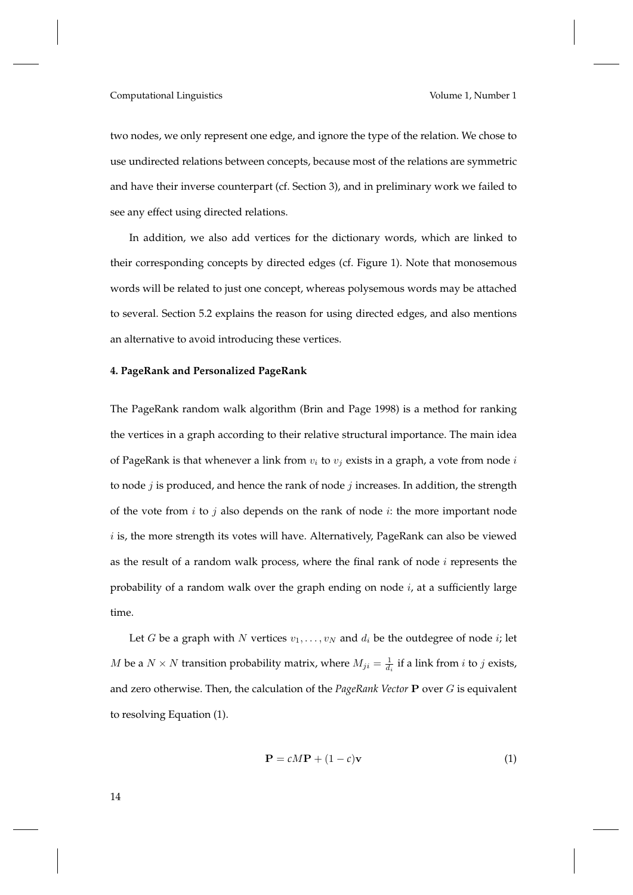two nodes, we only represent one edge, and ignore the type of the relation. We chose to use undirected relations between concepts, because most of the relations are symmetric and have their inverse counterpart (cf. Section 3), and in preliminary work we failed to see any effect using directed relations.

In addition, we also add vertices for the dictionary words, which are linked to their corresponding concepts by directed edges (cf. Figure 1). Note that monosemous words will be related to just one concept, whereas polysemous words may be attached to several. Section 5.2 explains the reason for using directed edges, and also mentions an alternative to avoid introducing these vertices.

# **4. PageRank and Personalized PageRank**

The PageRank random walk algorithm (Brin and Page 1998) is a method for ranking the vertices in a graph according to their relative structural importance. The main idea of PageRank is that whenever a link from  $v_i$  to  $v_j$  exists in a graph, a vote from node i to node  $j$  is produced, and hence the rank of node  $j$  increases. In addition, the strength of the vote from  $i$  to  $j$  also depends on the rank of node  $i$ : the more important node  $i$  is, the more strength its votes will have. Alternatively, PageRank can also be viewed as the result of a random walk process, where the final rank of node  $i$  represents the probability of a random walk over the graph ending on node  $i$ , at a sufficiently large time.

Let G be a graph with N vertices  $v_1, \ldots, v_N$  and  $d_i$  be the outdegree of node i; let *M* be a  $N \times N$  transition probability matrix, where  $M_{ji} = \frac{1}{d_i}$  if a link from *i* to *j* exists, and zero otherwise. Then, the calculation of the *PageRank Vector* P over G is equivalent to resolving Equation (1).

$$
\mathbf{P} = cM\mathbf{P} + (1 - c)\mathbf{v} \tag{1}
$$

14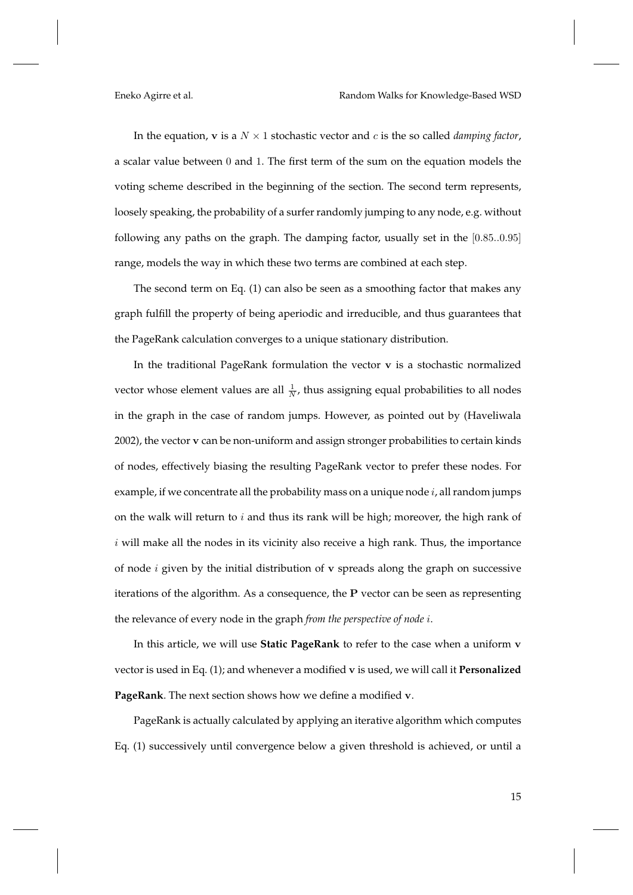In the equation,  $v$  is a  $N \times 1$  stochastic vector and c is the so called *damping factor*, a scalar value between 0 and 1. The first term of the sum on the equation models the voting scheme described in the beginning of the section. The second term represents, loosely speaking, the probability of a surfer randomly jumping to any node, e.g. without following any paths on the graph. The damping factor, usually set in the [0.85..0.95] range, models the way in which these two terms are combined at each step.

The second term on Eq. (1) can also be seen as a smoothing factor that makes any graph fulfill the property of being aperiodic and irreducible, and thus guarantees that the PageRank calculation converges to a unique stationary distribution.

In the traditional PageRank formulation the vector v is a stochastic normalized vector whose element values are all  $\frac{1}{N}$ , thus assigning equal probabilities to all nodes in the graph in the case of random jumps. However, as pointed out by (Haveliwala 2002), the vector v can be non-uniform and assign stronger probabilities to certain kinds of nodes, effectively biasing the resulting PageRank vector to prefer these nodes. For example, if we concentrate all the probability mass on a unique node  $i$ , all random jumps on the walk will return to  $i$  and thus its rank will be high; moreover, the high rank of  $i$  will make all the nodes in its vicinity also receive a high rank. Thus, the importance of node  $i$  given by the initial distribution of  $\bf{v}$  spreads along the graph on successive iterations of the algorithm. As a consequence, the P vector can be seen as representing the relevance of every node in the graph *from the perspective of node* i.

In this article, we will use **Static PageRank** to refer to the case when a uniform v vector is used in Eq. (1); and whenever a modified v is used, we will call it **Personalized PageRank**. The next section shows how we define a modified v.

PageRank is actually calculated by applying an iterative algorithm which computes Eq. (1) successively until convergence below a given threshold is achieved, or until a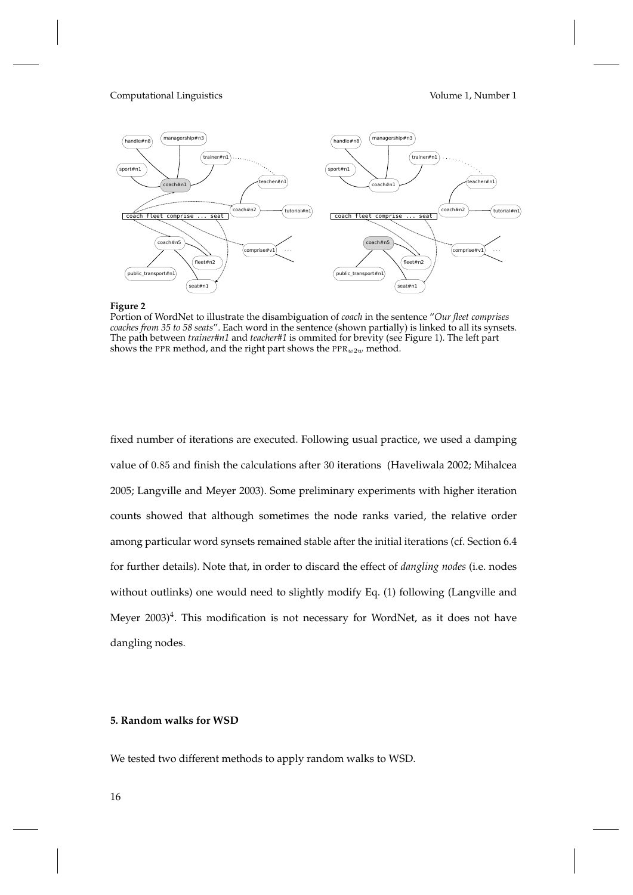



Portion of WordNet to illustrate the disambiguation of *coach* in the sentence "*Our fleet comprises coaches from 35 to 58 seats*". Each word in the sentence (shown partially) is linked to all its synsets. The path between *trainer#n1* and *teacher#1* is ommited for brevity (see Figure 1). The left part shows the PPR method, and the right part shows the  $PPR_w2w$  method.

fixed number of iterations are executed. Following usual practice, we used a damping value of 0.85 and finish the calculations after 30 iterations (Haveliwala 2002; Mihalcea 2005; Langville and Meyer 2003). Some preliminary experiments with higher iteration counts showed that although sometimes the node ranks varied, the relative order among particular word synsets remained stable after the initial iterations (cf. Section 6.4 for further details). Note that, in order to discard the effect of *dangling nodes* (i.e. nodes without outlinks) one would need to slightly modify Eq. (1) following (Langville and Meyer 2003) $^4$ . This modification is not necessary for WordNet, as it does not have dangling nodes.

# **5. Random walks for WSD**

We tested two different methods to apply random walks to WSD.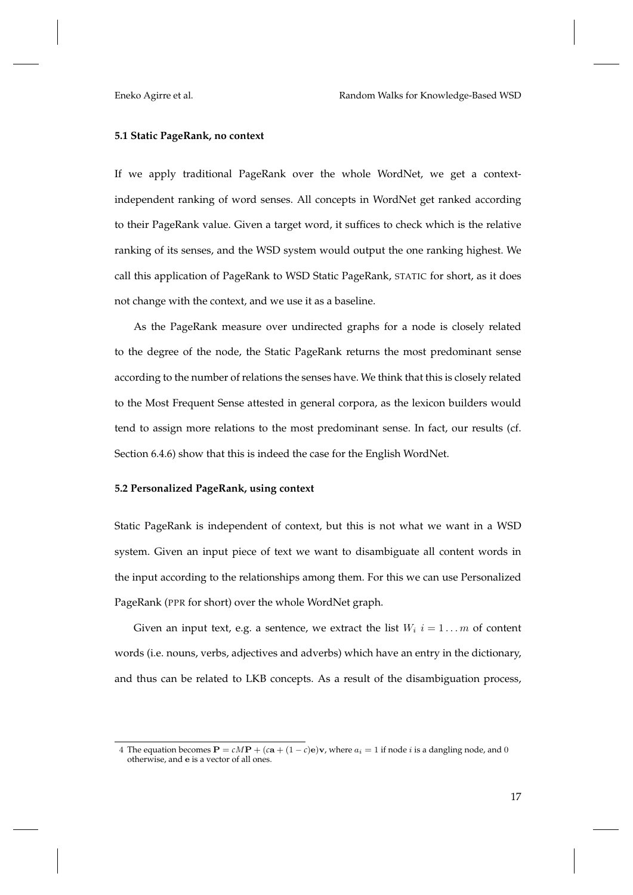# **5.1 Static PageRank, no context**

If we apply traditional PageRank over the whole WordNet, we get a contextindependent ranking of word senses. All concepts in WordNet get ranked according to their PageRank value. Given a target word, it suffices to check which is the relative ranking of its senses, and the WSD system would output the one ranking highest. We call this application of PageRank to WSD Static PageRank, STATIC for short, as it does not change with the context, and we use it as a baseline.

As the PageRank measure over undirected graphs for a node is closely related to the degree of the node, the Static PageRank returns the most predominant sense according to the number of relations the senses have. We think that this is closely related to the Most Frequent Sense attested in general corpora, as the lexicon builders would tend to assign more relations to the most predominant sense. In fact, our results (cf. Section 6.4.6) show that this is indeed the case for the English WordNet.

# **5.2 Personalized PageRank, using context**

Static PageRank is independent of context, but this is not what we want in a WSD system. Given an input piece of text we want to disambiguate all content words in the input according to the relationships among them. For this we can use Personalized PageRank (PPR for short) over the whole WordNet graph.

Given an input text, e.g. a sentence, we extract the list  $W_i$   $i = 1...m$  of content words (i.e. nouns, verbs, adjectives and adverbs) which have an entry in the dictionary, and thus can be related to LKB concepts. As a result of the disambiguation process,

<sup>4</sup> The equation becomes  $\mathbf{P} = cM\mathbf{P} + (c\mathbf{a} + (1-c)\mathbf{e})\mathbf{v}$ , where  $a_i = 1$  if node *i* is a dangling node, and 0 otherwise, and e is a vector of all ones.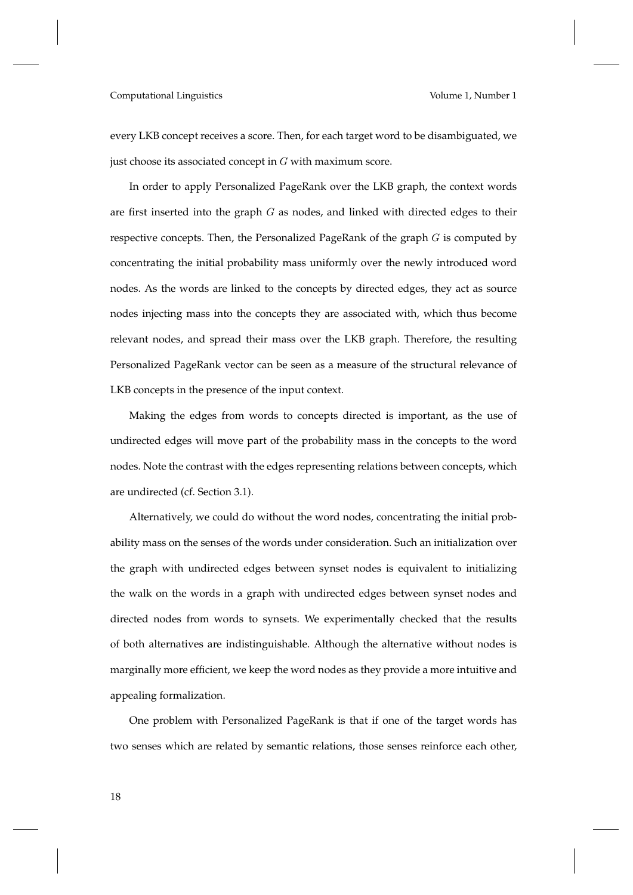every LKB concept receives a score. Then, for each target word to be disambiguated, we just choose its associated concept in  $G$  with maximum score.

In order to apply Personalized PageRank over the LKB graph, the context words are first inserted into the graph  $G$  as nodes, and linked with directed edges to their respective concepts. Then, the Personalized PageRank of the graph  $G$  is computed by concentrating the initial probability mass uniformly over the newly introduced word nodes. As the words are linked to the concepts by directed edges, they act as source nodes injecting mass into the concepts they are associated with, which thus become relevant nodes, and spread their mass over the LKB graph. Therefore, the resulting Personalized PageRank vector can be seen as a measure of the structural relevance of LKB concepts in the presence of the input context.

Making the edges from words to concepts directed is important, as the use of undirected edges will move part of the probability mass in the concepts to the word nodes. Note the contrast with the edges representing relations between concepts, which are undirected (cf. Section 3.1).

Alternatively, we could do without the word nodes, concentrating the initial probability mass on the senses of the words under consideration. Such an initialization over the graph with undirected edges between synset nodes is equivalent to initializing the walk on the words in a graph with undirected edges between synset nodes and directed nodes from words to synsets. We experimentally checked that the results of both alternatives are indistinguishable. Although the alternative without nodes is marginally more efficient, we keep the word nodes as they provide a more intuitive and appealing formalization.

One problem with Personalized PageRank is that if one of the target words has two senses which are related by semantic relations, those senses reinforce each other,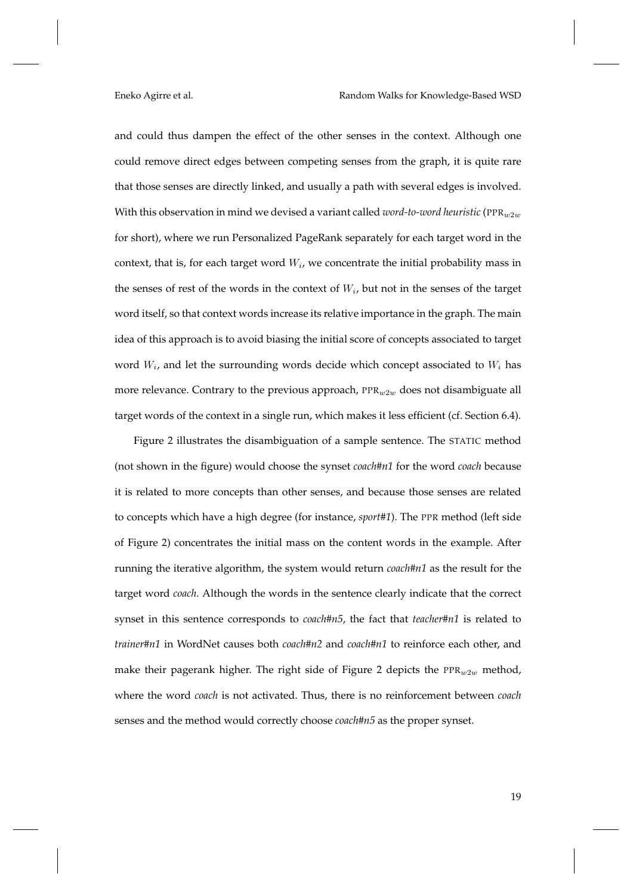and could thus dampen the effect of the other senses in the context. Although one could remove direct edges between competing senses from the graph, it is quite rare that those senses are directly linked, and usually a path with several edges is involved. With this observation in mind we devised a variant called *word-to-word heuristic* (PPR $_{w2w}$ for short), where we run Personalized PageRank separately for each target word in the context, that is, for each target word  $W_i$ , we concentrate the initial probability mass in the senses of rest of the words in the context of  $W_i$ , but not in the senses of the target word itself, so that context words increase its relative importance in the graph. The main idea of this approach is to avoid biasing the initial score of concepts associated to target word  $W_i$ , and let the surrounding words decide which concept associated to  $W_i$  has more relevance. Contrary to the previous approach,  $PPR_w2_w$  does not disambiguate all target words of the context in a single run, which makes it less efficient (cf. Section 6.4).

Figure 2 illustrates the disambiguation of a sample sentence. The STATIC method (not shown in the figure) would choose the synset *coach#n1* for the word *coach* because it is related to more concepts than other senses, and because those senses are related to concepts which have a high degree (for instance, *sport#1*). The PPR method (left side of Figure 2) concentrates the initial mass on the content words in the example. After running the iterative algorithm, the system would return *coach#n1* as the result for the target word *coach*. Although the words in the sentence clearly indicate that the correct synset in this sentence corresponds to *coach#n5*, the fact that *teacher#n1* is related to *trainer#n1* in WordNet causes both *coach#n2* and *coach#n1* to reinforce each other, and make their pagerank higher. The right side of Figure 2 depicts the  $PPR_{w2w}$  method, where the word *coach* is not activated. Thus, there is no reinforcement between *coach* senses and the method would correctly choose *coach#n5* as the proper synset.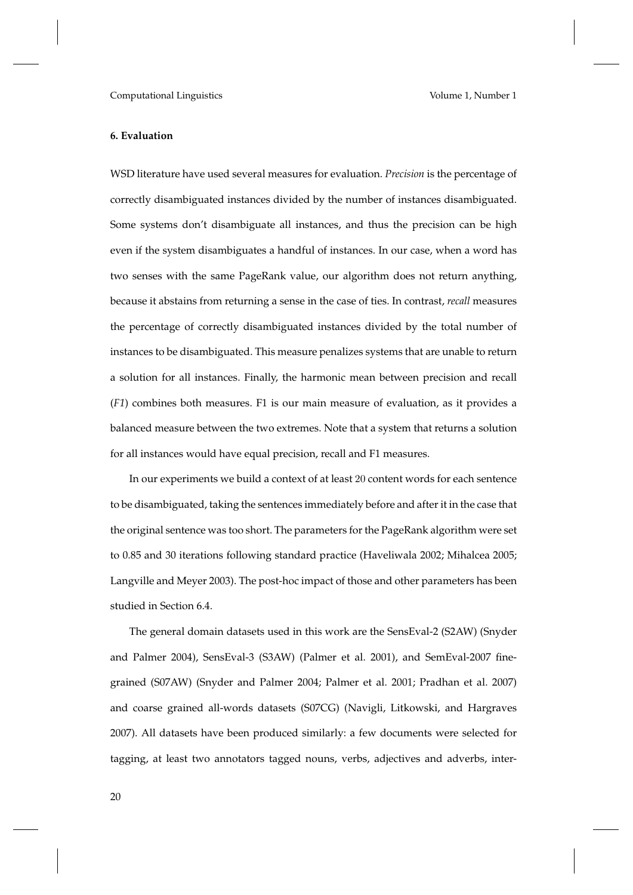# **6. Evaluation**

WSD literature have used several measures for evaluation. *Precision* is the percentage of correctly disambiguated instances divided by the number of instances disambiguated. Some systems don't disambiguate all instances, and thus the precision can be high even if the system disambiguates a handful of instances. In our case, when a word has two senses with the same PageRank value, our algorithm does not return anything, because it abstains from returning a sense in the case of ties. In contrast, *recall* measures the percentage of correctly disambiguated instances divided by the total number of instances to be disambiguated. This measure penalizes systems that are unable to return a solution for all instances. Finally, the harmonic mean between precision and recall (*F1*) combines both measures. F1 is our main measure of evaluation, as it provides a balanced measure between the two extremes. Note that a system that returns a solution for all instances would have equal precision, recall and F1 measures.

In our experiments we build a context of at least 20 content words for each sentence to be disambiguated, taking the sentences immediately before and after it in the case that the original sentence was too short. The parameters for the PageRank algorithm were set to 0.85 and 30 iterations following standard practice (Haveliwala 2002; Mihalcea 2005; Langville and Meyer 2003). The post-hoc impact of those and other parameters has been studied in Section 6.4.

The general domain datasets used in this work are the SensEval-2 (S2AW) (Snyder and Palmer 2004), SensEval-3 (S3AW) (Palmer et al. 2001), and SemEval-2007 finegrained (S07AW) (Snyder and Palmer 2004; Palmer et al. 2001; Pradhan et al. 2007) and coarse grained all-words datasets (S07CG) (Navigli, Litkowski, and Hargraves 2007). All datasets have been produced similarly: a few documents were selected for tagging, at least two annotators tagged nouns, verbs, adjectives and adverbs, inter-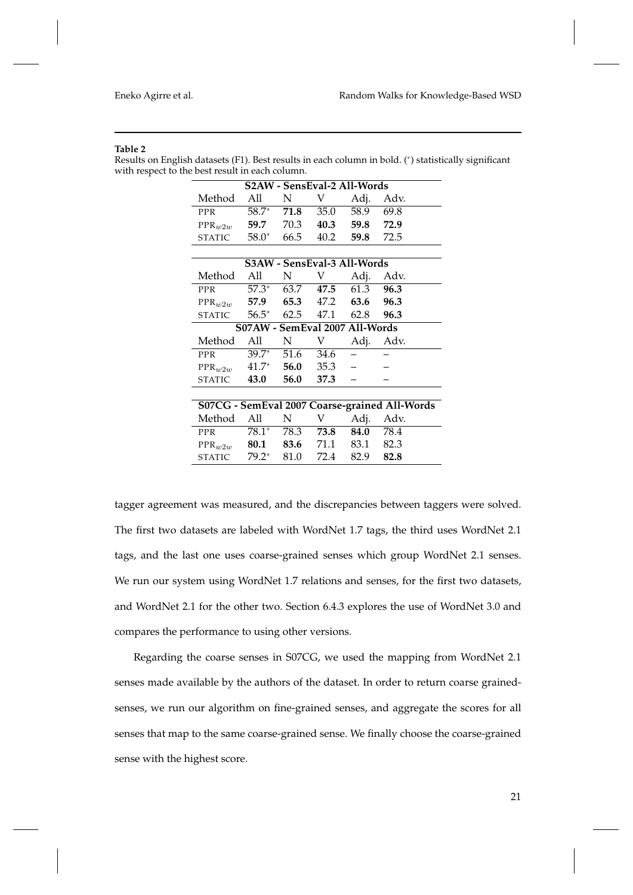#### **Table 2**

Results on English datasets (F1). Best results in each column in bold. (<sup>∗</sup> ) statistically significant with respect to the best result in each column.

| S2AW - SensEval-2 All-Words                   |                                |            |                             |                |      |
|-----------------------------------------------|--------------------------------|------------|-----------------------------|----------------|------|
| Method                                        | All                            | N          | V                           | Adj.           | Adv. |
| <b>PPR</b>                                    | $58.7^*$                       | 71.8       | 35.0                        | 58.9           | 69.8 |
| $PPR_w2w$                                     | 59.7                           | 70.3       |                             | 40.3 59.8 72.9 |      |
| <b>STATIC</b>                                 | $58.0^*$                       | 66.5       | 40.2                        | 59.8           | 72.5 |
|                                               |                                |            |                             |                |      |
|                                               |                                |            | S3AW - SensEval-3 All-Words |                |      |
| Method                                        | All                            | N          | V                           | Adj.           | Adv. |
| <b>PPR</b>                                    | $57.3^*$ 63.7 47.5             |            |                             | 61.3           | 96.3 |
| $PPR_w2w$                                     | 57.9 65.3 47.2 63.6            |            |                             |                | 96.3 |
| STATIC                                        |                                |            | $56.5^*$ 62.5 47.1 62.8     |                | 96.3 |
|                                               | S07AW - SemEval 2007 All-Words |            |                             |                |      |
| Method                                        | All                            | N          | V                           | Adj.           | Adv. |
| <b>PPR</b>                                    | $39.7*$                        | 51.6       | 34.6                        |                |      |
| $PPR_w2w$                                     | $41.7*$                        |            | 56.0 35.3                   |                |      |
| STATIC                                        | 43.0                           | 56.0       | 37.3                        |                |      |
|                                               |                                |            |                             |                |      |
| S07CG - SemEval 2007 Coarse-grained All-Words |                                |            |                             |                |      |
| Method                                        | All                            | N          | V.                          | Adj.           | Adv. |
| PPR                                           |                                | 78.1* 78.3 | 73.8                        | 84.0           | 78.4 |
| $PPR_w2w$                                     | 80.1                           | 83.6       | 71.1                        | 83.1           | 82.3 |

tagger agreement was measured, and the discrepancies between taggers were solved. The first two datasets are labeled with WordNet 1.7 tags, the third uses WordNet 2.1 tags, and the last one uses coarse-grained senses which group WordNet 2.1 senses. We run our system using WordNet 1.7 relations and senses, for the first two datasets, and WordNet 2.1 for the other two. Section 6.4.3 explores the use of WordNet 3.0 and compares the performance to using other versions.

STATIC 79.2<sup>∗</sup> 81.0 72.4 82.9 **82.8**

Regarding the coarse senses in S07CG, we used the mapping from WordNet 2.1 senses made available by the authors of the dataset. In order to return coarse grainedsenses, we run our algorithm on fine-grained senses, and aggregate the scores for all senses that map to the same coarse-grained sense. We finally choose the coarse-grained sense with the highest score.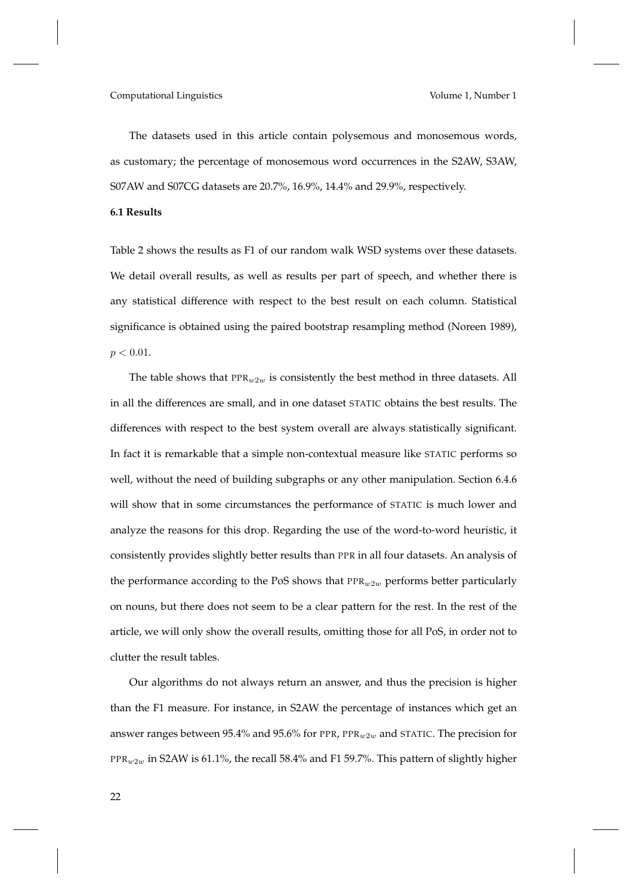The datasets used in this article contain polysemous and monosemous words, as customary; the percentage of monosemous word occurrences in the S2AW, S3AW, S07AW and S07CG datasets are 20.7%, 16.9%, 14.4% and 29.9%, respectively.

### **6.1 Results**

Table 2 shows the results as F1 of our random walk WSD systems over these datasets. We detail overall results, as well as results per part of speech, and whether there is any statistical difference with respect to the best result on each column. Statistical significance is obtained using the paired bootstrap resampling method (Noreen 1989),  $p < 0.01$ .

The table shows that  $PPR_w2w$  is consistently the best method in three datasets. All in all the differences are small, and in one dataset STATIC obtains the best results. The differences with respect to the best system overall are always statistically significant. In fact it is remarkable that a simple non-contextual measure like STATIC performs so well, without the need of building subgraphs or any other manipulation. Section 6.4.6 will show that in some circumstances the performance of STATIC is much lower and analyze the reasons for this drop. Regarding the use of the word-to-word heuristic, it consistently provides slightly better results than PPR in all four datasets. An analysis of the performance according to the PoS shows that  $PPR_w2w$  performs better particularly on nouns, but there does not seem to be a clear pattern for the rest. In the rest of the article, we will only show the overall results, omitting those for all PoS, in order not to clutter the result tables.

Our algorithms do not always return an answer, and thus the precision is higher than the F1 measure. For instance, in S2AW the percentage of instances which get an answer ranges between 95.4% and 95.6% for PPR,  $PPR_w2w$  and STATIC. The precision for PPR $_{w2w}$  in S2AW is 61.1%, the recall 58.4% and F1 59.7%. This pattern of slightly higher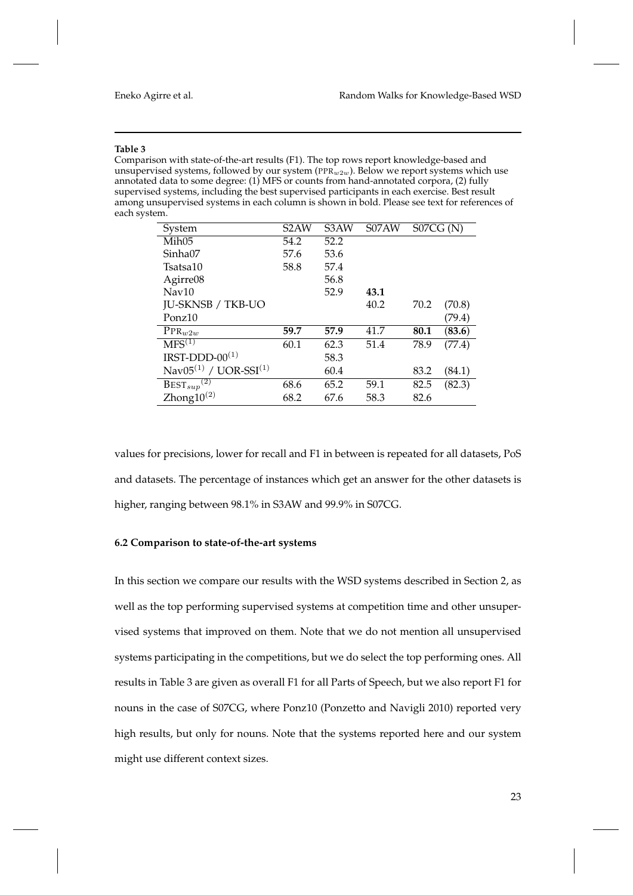#### **Table 3**

Comparison with state-of-the-art results (F1). The top rows report knowledge-based and unsupervised systems, followed by our system (PPR $w_2w$ ). Below we report systems which use annotated data to some degree: (1) MFS or counts from hand-annotated corpora, (2) fully supervised systems, including the best supervised participants in each exercise. Best result among unsupervised systems in each column is shown in bold. Please see text for references of each system.

| System                            | S <sub>2</sub> AW | S3AW | S07AW | S07CG(N) |        |
|-----------------------------------|-------------------|------|-------|----------|--------|
| Mih05                             | 54.2              | 52.2 |       |          |        |
| Sinha07                           | 57.6              | 53.6 |       |          |        |
| Tsatsa10                          | 58.8              | 57.4 |       |          |        |
| Agirre08                          |                   | 56.8 |       |          |        |
| $\text{Nav}10$                    |                   | 52.9 | 43.1  |          |        |
| <b>JU-SKNSB / TKB-UO</b>          |                   |      | 40.2  | 70.2     | (70.8) |
| Ponz <sub>10</sub>                |                   |      |       |          | (79.4) |
| $PPR_{w2w}$                       | 59.7              | 57.9 | 41.7  | 80.1     | (83.6) |
| $MFS^{(1)}$                       | 60.1              | 62.3 | 51.4  | 78.9     | (77.4) |
| IRST-DDD-00 $(1)$                 |                   | 58.3 |       |          |        |
| Nav $05^{(1)}$ / UOR-SSI $^{(1)}$ |                   | 60.4 |       | 83.2     | (84.1) |
| $\text{BEST}_{sup}^{(2)}$         | 68.6              | 65.2 | 59.1  | 82.5     | (82.3) |
| Zhong $10^{(2)}$                  | 68.2              | 67.6 | 58.3  | 82.6     |        |

values for precisions, lower for recall and F1 in between is repeated for all datasets, PoS and datasets. The percentage of instances which get an answer for the other datasets is higher, ranging between 98.1% in S3AW and 99.9% in S07CG.

### **6.2 Comparison to state-of-the-art systems**

In this section we compare our results with the WSD systems described in Section 2, as well as the top performing supervised systems at competition time and other unsupervised systems that improved on them. Note that we do not mention all unsupervised systems participating in the competitions, but we do select the top performing ones. All results in Table 3 are given as overall F1 for all Parts of Speech, but we also report F1 for nouns in the case of S07CG, where Ponz10 (Ponzetto and Navigli 2010) reported very high results, but only for nouns. Note that the systems reported here and our system might use different context sizes.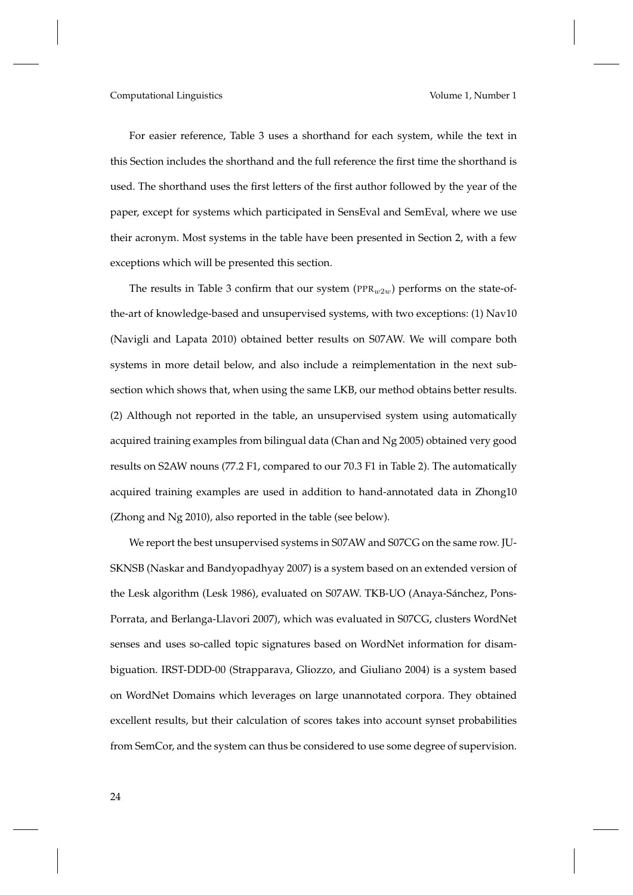For easier reference, Table 3 uses a shorthand for each system, while the text in this Section includes the shorthand and the full reference the first time the shorthand is used. The shorthand uses the first letters of the first author followed by the year of the paper, except for systems which participated in SensEval and SemEval, where we use their acronym. Most systems in the table have been presented in Section 2, with a few exceptions which will be presented this section.

The results in Table 3 confirm that our system ( $PPR_{w2w}$ ) performs on the state-ofthe-art of knowledge-based and unsupervised systems, with two exceptions: (1) Nav10 (Navigli and Lapata 2010) obtained better results on S07AW. We will compare both systems in more detail below, and also include a reimplementation in the next subsection which shows that, when using the same LKB, our method obtains better results. (2) Although not reported in the table, an unsupervised system using automatically acquired training examples from bilingual data (Chan and Ng 2005) obtained very good results on S2AW nouns (77.2 F1, compared to our 70.3 F1 in Table 2). The automatically acquired training examples are used in addition to hand-annotated data in Zhong10 (Zhong and Ng 2010), also reported in the table (see below).

We report the best unsupervised systems in S07AW and S07CG on the same row. JU-SKNSB (Naskar and Bandyopadhyay 2007) is a system based on an extended version of the Lesk algorithm (Lesk 1986), evaluated on S07AW. TKB-UO (Anaya-Sánchez, Pons-Porrata, and Berlanga-Llavori 2007), which was evaluated in S07CG, clusters WordNet senses and uses so-called topic signatures based on WordNet information for disambiguation. IRST-DDD-00 (Strapparava, Gliozzo, and Giuliano 2004) is a system based on WordNet Domains which leverages on large unannotated corpora. They obtained excellent results, but their calculation of scores takes into account synset probabilities from SemCor, and the system can thus be considered to use some degree of supervision.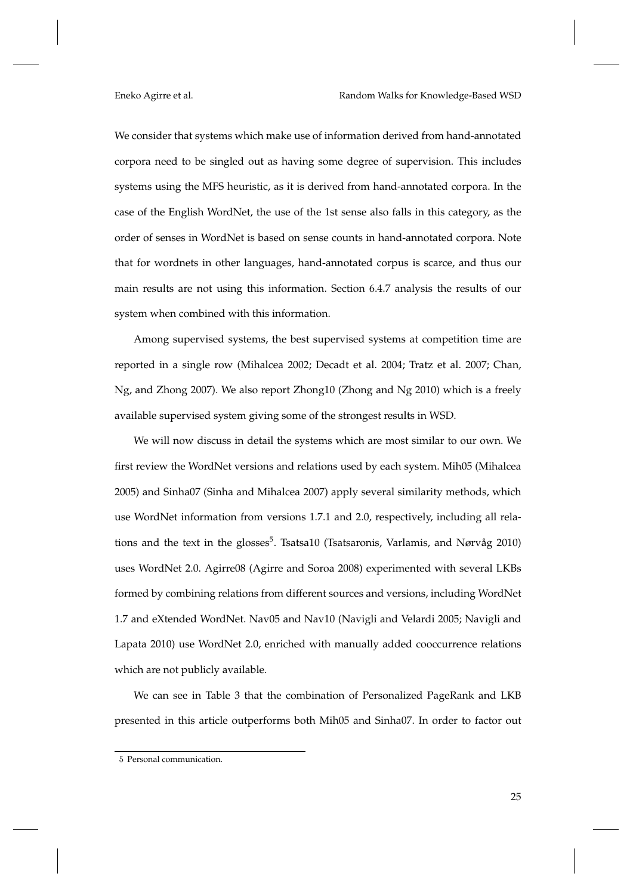We consider that systems which make use of information derived from hand-annotated corpora need to be singled out as having some degree of supervision. This includes systems using the MFS heuristic, as it is derived from hand-annotated corpora. In the case of the English WordNet, the use of the 1st sense also falls in this category, as the order of senses in WordNet is based on sense counts in hand-annotated corpora. Note that for wordnets in other languages, hand-annotated corpus is scarce, and thus our main results are not using this information. Section 6.4.7 analysis the results of our system when combined with this information.

Among supervised systems, the best supervised systems at competition time are reported in a single row (Mihalcea 2002; Decadt et al. 2004; Tratz et al. 2007; Chan, Ng, and Zhong 2007). We also report Zhong10 (Zhong and Ng 2010) which is a freely available supervised system giving some of the strongest results in WSD.

We will now discuss in detail the systems which are most similar to our own. We first review the WordNet versions and relations used by each system. Mih05 (Mihalcea 2005) and Sinha07 (Sinha and Mihalcea 2007) apply several similarity methods, which use WordNet information from versions 1.7.1 and 2.0, respectively, including all relations and the text in the glosses<sup>5</sup>. Tsatsa10 (Tsatsaronis, Varlamis, and Nørvåg 2010) uses WordNet 2.0. Agirre08 (Agirre and Soroa 2008) experimented with several LKBs formed by combining relations from different sources and versions, including WordNet 1.7 and eXtended WordNet. Nav05 and Nav10 (Navigli and Velardi 2005; Navigli and Lapata 2010) use WordNet 2.0, enriched with manually added cooccurrence relations which are not publicly available.

We can see in Table 3 that the combination of Personalized PageRank and LKB presented in this article outperforms both Mih05 and Sinha07. In order to factor out

<sup>5</sup> Personal communication.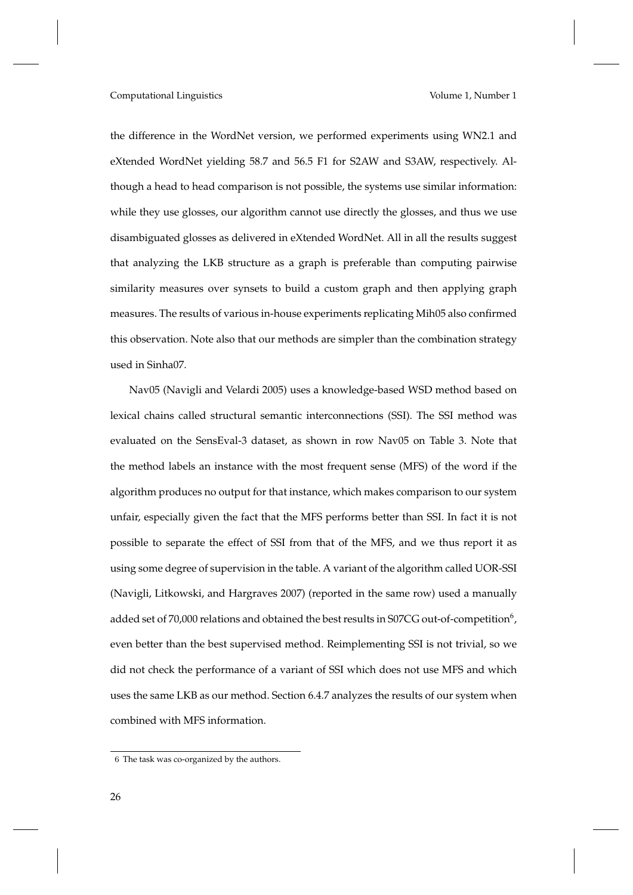the difference in the WordNet version, we performed experiments using WN2.1 and eXtended WordNet yielding 58.7 and 56.5 F1 for S2AW and S3AW, respectively. Although a head to head comparison is not possible, the systems use similar information: while they use glosses, our algorithm cannot use directly the glosses, and thus we use disambiguated glosses as delivered in eXtended WordNet. All in all the results suggest that analyzing the LKB structure as a graph is preferable than computing pairwise similarity measures over synsets to build a custom graph and then applying graph measures. The results of various in-house experiments replicating Mih05 also confirmed this observation. Note also that our methods are simpler than the combination strategy used in Sinha07.

Nav05 (Navigli and Velardi 2005) uses a knowledge-based WSD method based on lexical chains called structural semantic interconnections (SSI). The SSI method was evaluated on the SensEval-3 dataset, as shown in row Nav05 on Table 3. Note that the method labels an instance with the most frequent sense (MFS) of the word if the algorithm produces no output for that instance, which makes comparison to our system unfair, especially given the fact that the MFS performs better than SSI. In fact it is not possible to separate the effect of SSI from that of the MFS, and we thus report it as using some degree of supervision in the table. A variant of the algorithm called UOR-SSI (Navigli, Litkowski, and Hargraves 2007) (reported in the same row) used a manually added set of 70,000 relations and obtained the best results in S07CG out-of-competition $^6$  , even better than the best supervised method. Reimplementing SSI is not trivial, so we did not check the performance of a variant of SSI which does not use MFS and which uses the same LKB as our method. Section 6.4.7 analyzes the results of our system when combined with MFS information.

<sup>6</sup> The task was co-organized by the authors.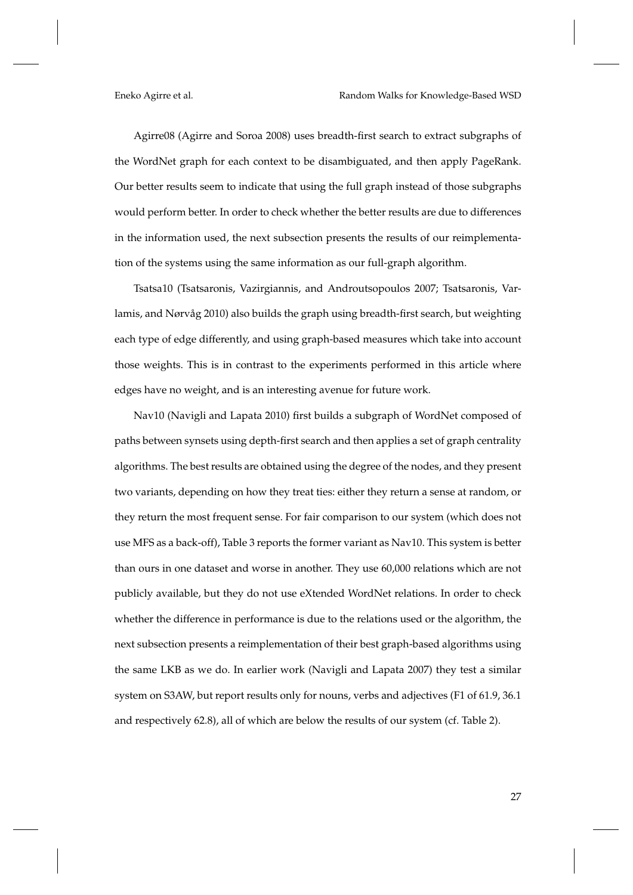Agirre08 (Agirre and Soroa 2008) uses breadth-first search to extract subgraphs of the WordNet graph for each context to be disambiguated, and then apply PageRank. Our better results seem to indicate that using the full graph instead of those subgraphs would perform better. In order to check whether the better results are due to differences in the information used, the next subsection presents the results of our reimplementation of the systems using the same information as our full-graph algorithm.

Tsatsa10 (Tsatsaronis, Vazirgiannis, and Androutsopoulos 2007; Tsatsaronis, Varlamis, and Nørvåg 2010) also builds the graph using breadth-first search, but weighting each type of edge differently, and using graph-based measures which take into account those weights. This is in contrast to the experiments performed in this article where edges have no weight, and is an interesting avenue for future work.

Nav10 (Navigli and Lapata 2010) first builds a subgraph of WordNet composed of paths between synsets using depth-first search and then applies a set of graph centrality algorithms. The best results are obtained using the degree of the nodes, and they present two variants, depending on how they treat ties: either they return a sense at random, or they return the most frequent sense. For fair comparison to our system (which does not use MFS as a back-off), Table 3 reports the former variant as Nav10. This system is better than ours in one dataset and worse in another. They use 60,000 relations which are not publicly available, but they do not use eXtended WordNet relations. In order to check whether the difference in performance is due to the relations used or the algorithm, the next subsection presents a reimplementation of their best graph-based algorithms using the same LKB as we do. In earlier work (Navigli and Lapata 2007) they test a similar system on S3AW, but report results only for nouns, verbs and adjectives (F1 of 61.9, 36.1 and respectively 62.8), all of which are below the results of our system (cf. Table 2).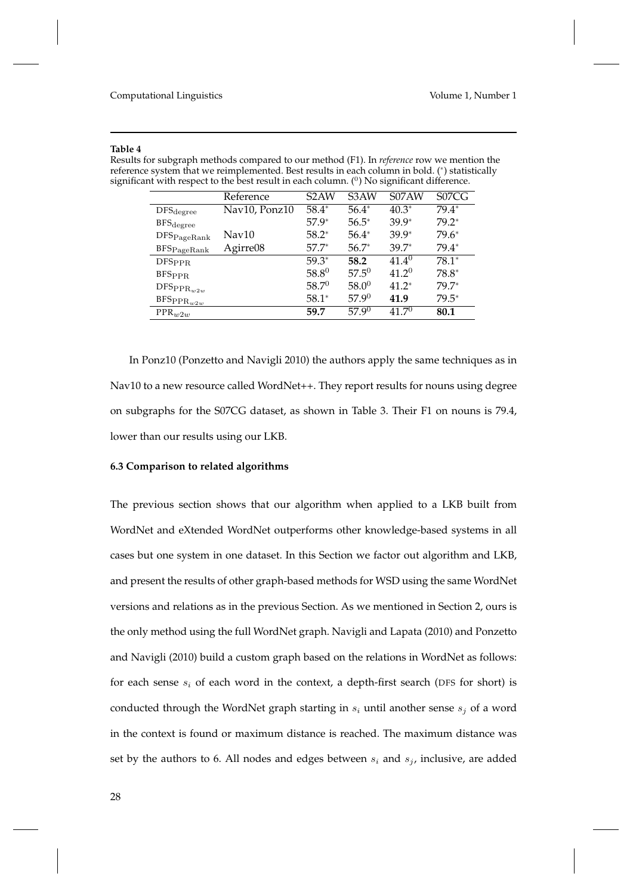### **Table 4**

Results for subgraph methods compared to our method (F1). In *reference* row we mention the reference system that we reimplemented. Best results in each column in bold. (<sup>∗</sup> ) statistically significant with respect to the best result in each column. ( $^0$ ) No significant difference.

|                                     | Reference     | S <sub>2</sub> AW | S <sub>3</sub> AW | S07AW      | S07CG   |
|-------------------------------------|---------------|-------------------|-------------------|------------|---------|
| $\mathrm{DFS_{degree}}$             | Nav10, Ponz10 | $58.4*$           | $56.4*$           | $40.3*$    | $79.4*$ |
| $\rm BFS_{degree}$                  |               | $57.9*$           | $56.5*$           | $39.9*$    | $79.2*$ |
| $\rm{DFS}_{\rm PageRank}$           | Nav10         | $58.2*$           | $56.4*$           | $39.9*$    | $79.6*$ |
| BFSp <sub>ageRank</sub>             | Agirre08      | $57.7*$           | $56.7*$           | $39.7*$    | 79.4*   |
| DFS <sub>PPR</sub>                  |               | $59.3*$           | 58.2              | $41.4^{0}$ | $78.1*$ |
| <b>BFSPPR</b>                       |               | 58.80             | $57.5^{0}$        | 41 $2^{0}$ | 78.8*   |
| $\mathrm{DFS}_{\mathrm{PPR}_{w2w}}$ |               | $58.7^{0}$        | $58.0^{0}$        | $41.2*$    | $79.7*$ |
| $\texttt{BFS}_\texttt{PPR}_{w2w}$   |               | $58.1*$           | $57.9^{0}$        | 41.9       | $79.5*$ |
| $PPR_{w2w}$                         |               | 59.7              | $57.9^{0}$        | $41.7^{0}$ | 80.1    |

In Ponz10 (Ponzetto and Navigli 2010) the authors apply the same techniques as in Nav10 to a new resource called WordNet++. They report results for nouns using degree on subgraphs for the S07CG dataset, as shown in Table 3. Their F1 on nouns is 79.4, lower than our results using our LKB.

# **6.3 Comparison to related algorithms**

The previous section shows that our algorithm when applied to a LKB built from WordNet and eXtended WordNet outperforms other knowledge-based systems in all cases but one system in one dataset. In this Section we factor out algorithm and LKB, and present the results of other graph-based methods for WSD using the same WordNet versions and relations as in the previous Section. As we mentioned in Section 2, ours is the only method using the full WordNet graph. Navigli and Lapata (2010) and Ponzetto and Navigli (2010) build a custom graph based on the relations in WordNet as follows: for each sense  $s_i$  of each word in the context, a depth-first search (DFS for short) is conducted through the WordNet graph starting in  $s_i$  until another sense  $s_j$  of a word in the context is found or maximum distance is reached. The maximum distance was set by the authors to 6. All nodes and edges between  $s_i$  and  $s_j$ , inclusive, are added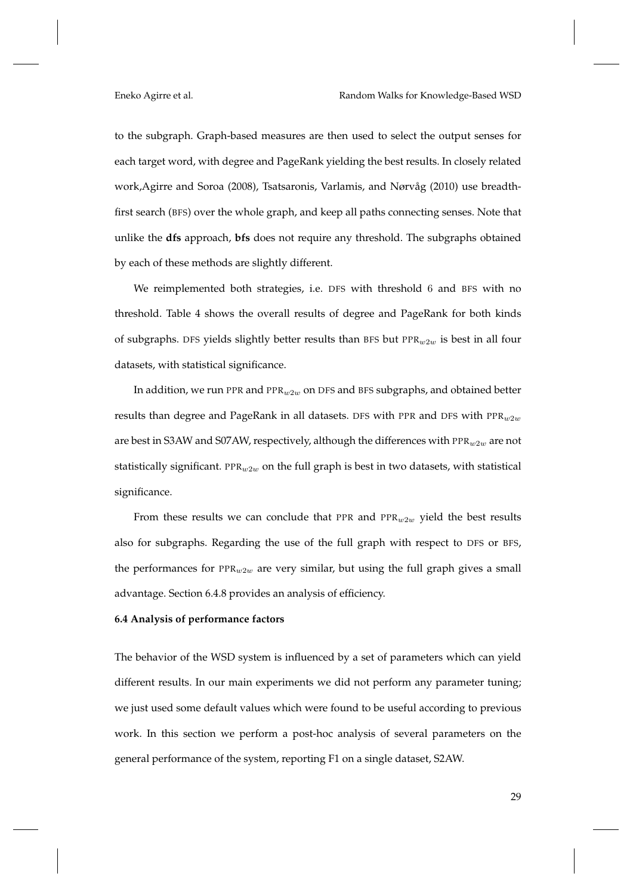to the subgraph. Graph-based measures are then used to select the output senses for each target word, with degree and PageRank yielding the best results. In closely related work,Agirre and Soroa (2008), Tsatsaronis, Varlamis, and Nørvåg (2010) use breadthfirst search (BFS) over the whole graph, and keep all paths connecting senses. Note that unlike the **dfs** approach, **bfs** does not require any threshold. The subgraphs obtained by each of these methods are slightly different.

We reimplemented both strategies, i.e. DFS with threshold 6 and BFS with no threshold. Table 4 shows the overall results of degree and PageRank for both kinds of subgraphs. DFS yields slightly better results than BFS but  $PPR_{w2w}$  is best in all four datasets, with statistical significance.

In addition, we run PPR and PPR<sub>w2w</sub> on DFS and BFS subgraphs, and obtained better results than degree and PageRank in all datasets. DFS with PPR and DFS with  $PPR_{w2w}$ are best in S3AW and S07AW, respectively, although the differences with  $PPR_w2w$  are not statistically significant. PPR<sub>w2w</sub> on the full graph is best in two datasets, with statistical significance.

From these results we can conclude that PPR and  $PPR_{w2w}$  yield the best results also for subgraphs. Regarding the use of the full graph with respect to DFS or BFS, the performances for  $PPR_{w2w}$  are very similar, but using the full graph gives a small advantage. Section 6.4.8 provides an analysis of efficiency.

# **6.4 Analysis of performance factors**

The behavior of the WSD system is influenced by a set of parameters which can yield different results. In our main experiments we did not perform any parameter tuning; we just used some default values which were found to be useful according to previous work. In this section we perform a post-hoc analysis of several parameters on the general performance of the system, reporting F1 on a single dataset, S2AW.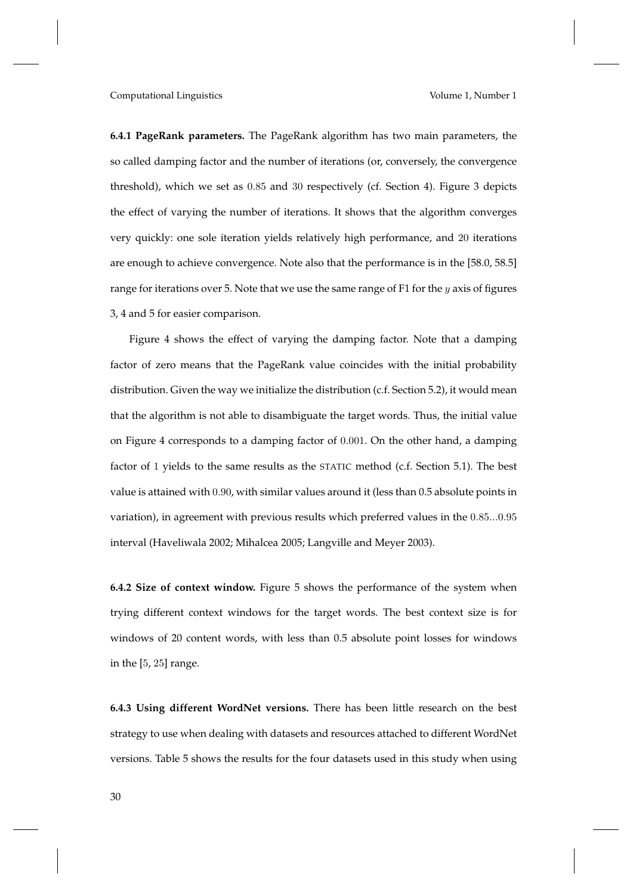**6.4.1 PageRank parameters.** The PageRank algorithm has two main parameters, the so called damping factor and the number of iterations (or, conversely, the convergence threshold), which we set as 0.85 and 30 respectively (cf. Section 4). Figure 3 depicts the effect of varying the number of iterations. It shows that the algorithm converges very quickly: one sole iteration yields relatively high performance, and 20 iterations are enough to achieve convergence. Note also that the performance is in the [58.0, 58.5] range for iterations over 5. Note that we use the same range of F1 for the  $y$  axis of figures 3, 4 and 5 for easier comparison.

Figure 4 shows the effect of varying the damping factor. Note that a damping factor of zero means that the PageRank value coincides with the initial probability distribution. Given the way we initialize the distribution (c.f. Section 5.2), it would mean that the algorithm is not able to disambiguate the target words. Thus, the initial value on Figure 4 corresponds to a damping factor of 0.001. On the other hand, a damping factor of 1 yields to the same results as the STATIC method (c.f. Section 5.1). The best value is attained with 0.90, with similar values around it (less than 0.5 absolute points in variation), in agreement with previous results which preferred values in the 0.85...0.95 interval (Haveliwala 2002; Mihalcea 2005; Langville and Meyer 2003).

**6.4.2 Size of context window.** Figure 5 shows the performance of the system when trying different context windows for the target words. The best context size is for windows of 20 content words, with less than 0.5 absolute point losses for windows in the [5, 25] range.

**6.4.3 Using different WordNet versions.** There has been little research on the best strategy to use when dealing with datasets and resources attached to different WordNet versions. Table 5 shows the results for the four datasets used in this study when using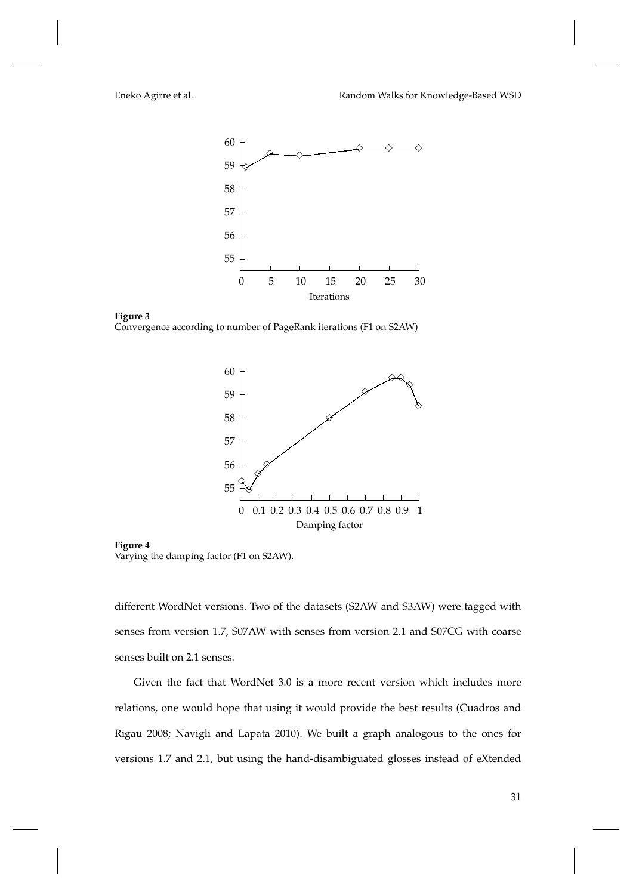

**Figure 3** Convergence according to number of PageRank iterations (F1 on S2AW)



**Figure 4** Varying the damping factor (F1 on S2AW).

different WordNet versions. Two of the datasets (S2AW and S3AW) were tagged with senses from version 1.7, S07AW with senses from version 2.1 and S07CG with coarse senses built on 2.1 senses.

Given the fact that WordNet 3.0 is a more recent version which includes more relations, one would hope that using it would provide the best results (Cuadros and Rigau 2008; Navigli and Lapata 2010). We built a graph analogous to the ones for versions 1.7 and 2.1, but using the hand-disambiguated glosses instead of eXtended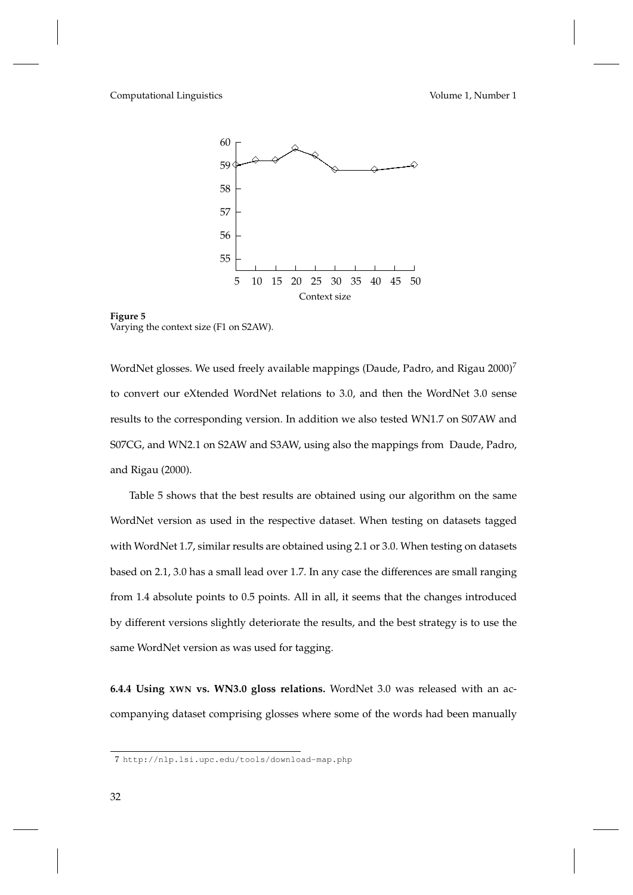

**Figure 5** Varying the context size (F1 on S2AW).

WordNet glosses. We used freely available mappings (Daude, Padro, and Rigau 2000)<sup>7</sup> to convert our eXtended WordNet relations to 3.0, and then the WordNet 3.0 sense results to the corresponding version. In addition we also tested WN1.7 on S07AW and S07CG, and WN2.1 on S2AW and S3AW, using also the mappings from Daude, Padro, and Rigau (2000).

Table 5 shows that the best results are obtained using our algorithm on the same WordNet version as used in the respective dataset. When testing on datasets tagged with WordNet 1.7, similar results are obtained using 2.1 or 3.0. When testing on datasets based on 2.1, 3.0 has a small lead over 1.7. In any case the differences are small ranging from 1.4 absolute points to 0.5 points. All in all, it seems that the changes introduced by different versions slightly deteriorate the results, and the best strategy is to use the same WordNet version as was used for tagging.

**6.4.4 Using XWN vs. WN3.0 gloss relations.** WordNet 3.0 was released with an accompanying dataset comprising glosses where some of the words had been manually

<sup>7</sup> http://nlp.lsi.upc.edu/tools/download-map.php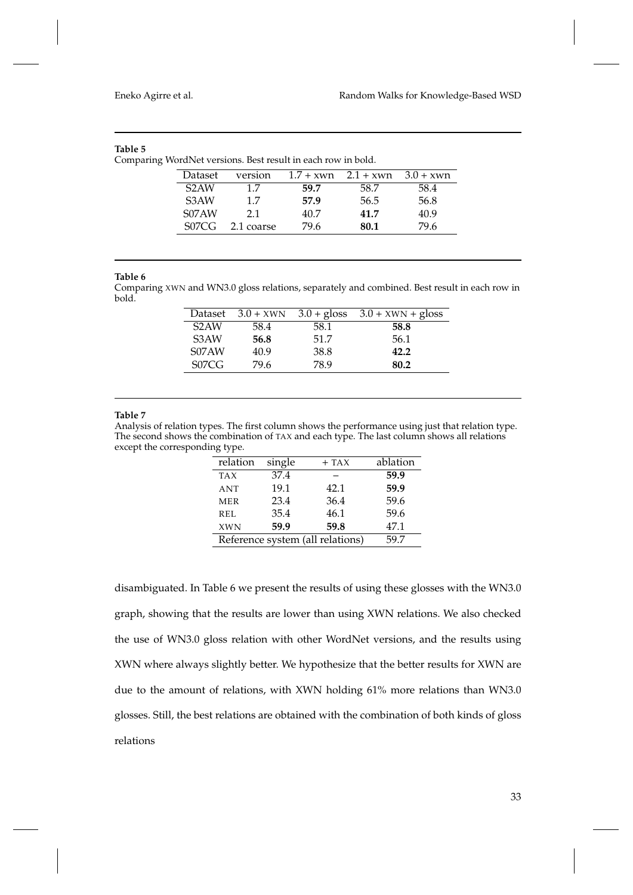# **Table 5**

Comparing WordNet versions. Best result in each row in bold.

| Dataset           | version    | $1.7 + xwn$ | $2.1 + xwn$ | $3.0 + xwn$ |
|-------------------|------------|-------------|-------------|-------------|
| S <sub>2</sub> AW | 17         | 59.7        | 58.7        | 58.4        |
| S <sub>3</sub> AW | 17         | 57.9        | 56.5        | 56.8        |
| S07AW             | 21         | 40.7        | 41.7        | 40.9        |
| S07CC             | 2.1 coarse | 79 6        | 80.1        | 79 6        |

# **Table 6**

Comparing XWN and WN3.0 gloss relations, separately and combined. Best result in each row in bold.

|                   | Dataset $3.0 + XWN$ |      | $3.0 +$ gloss $3.0 +$ XWN + gloss |
|-------------------|---------------------|------|-----------------------------------|
| S <sub>2</sub> AW | 58.4                | 58.1 | 58.8                              |
| S <sub>3</sub> AW | 56.8                | 51.7 | 56.1                              |
| S07AW             | 40.9                | 38.8 | 42.2                              |
| S07C              | 79.6                | 78.9 | 80.2                              |

# **Table 7**

Analysis of relation types. The first column shows the performance using just that relation type. The second shows the combination of TAX and each type. The last column shows all relations except the corresponding type.

| relation                         | single | $+$ TAX | ablation |
|----------------------------------|--------|---------|----------|
| <b>TAX</b>                       | 37.4   |         | 59.9     |
| <b>ANT</b>                       | 19.1   | 42.1    | 59.9     |
| <b>MER</b>                       | 23.4   | 36.4    | 59.6     |
| REL                              | 35.4   | 46.1    | 59.6     |
| <b>XWN</b>                       | 59.9   | 59.8    | 47.1     |
| Reference system (all relations) | 59.7   |         |          |

disambiguated. In Table 6 we present the results of using these glosses with the WN3.0 graph, showing that the results are lower than using XWN relations. We also checked the use of WN3.0 gloss relation with other WordNet versions, and the results using XWN where always slightly better. We hypothesize that the better results for XWN are due to the amount of relations, with XWN holding 61% more relations than WN3.0 glosses. Still, the best relations are obtained with the combination of both kinds of gloss relations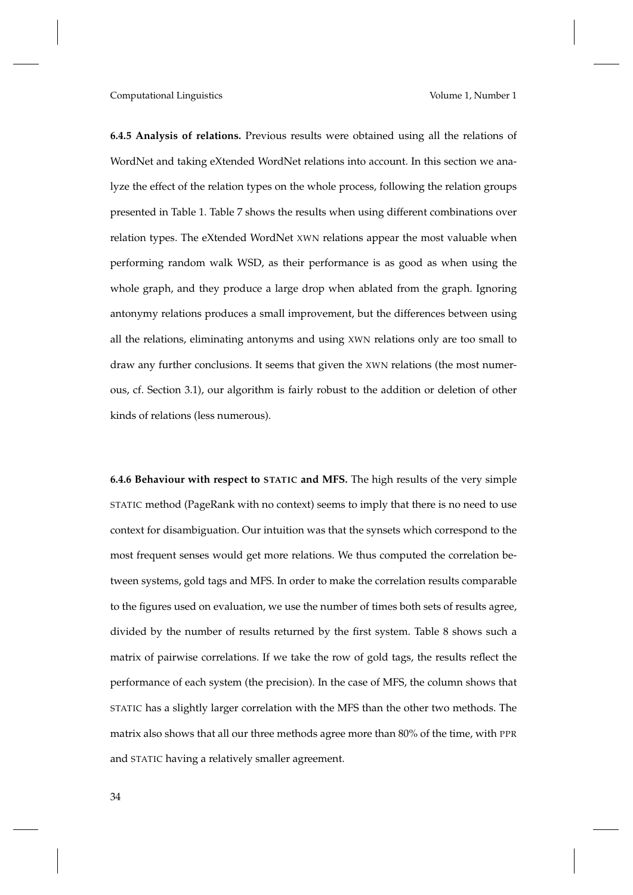**6.4.5 Analysis of relations.** Previous results were obtained using all the relations of WordNet and taking eXtended WordNet relations into account. In this section we analyze the effect of the relation types on the whole process, following the relation groups presented in Table 1. Table 7 shows the results when using different combinations over relation types. The eXtended WordNet XWN relations appear the most valuable when performing random walk WSD, as their performance is as good as when using the whole graph, and they produce a large drop when ablated from the graph. Ignoring antonymy relations produces a small improvement, but the differences between using all the relations, eliminating antonyms and using XWN relations only are too small to draw any further conclusions. It seems that given the XWN relations (the most numerous, cf. Section 3.1), our algorithm is fairly robust to the addition or deletion of other kinds of relations (less numerous).

**6.4.6 Behaviour with respect to STATIC and MFS.** The high results of the very simple STATIC method (PageRank with no context) seems to imply that there is no need to use context for disambiguation. Our intuition was that the synsets which correspond to the most frequent senses would get more relations. We thus computed the correlation between systems, gold tags and MFS. In order to make the correlation results comparable to the figures used on evaluation, we use the number of times both sets of results agree, divided by the number of results returned by the first system. Table 8 shows such a matrix of pairwise correlations. If we take the row of gold tags, the results reflect the performance of each system (the precision). In the case of MFS, the column shows that STATIC has a slightly larger correlation with the MFS than the other two methods. The matrix also shows that all our three methods agree more than 80% of the time, with PPR and STATIC having a relatively smaller agreement.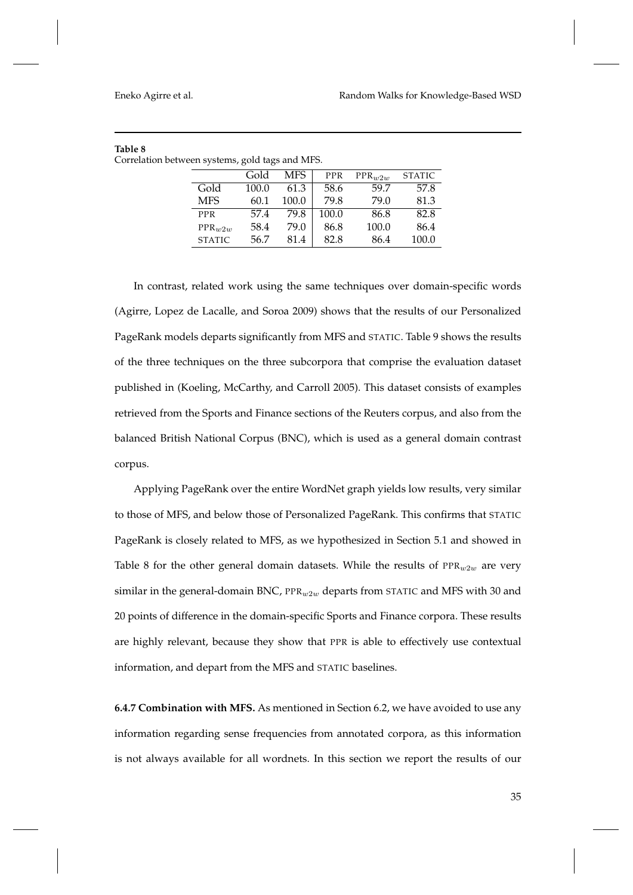|               | Gold  | MFS   | <b>PPR</b> | $PPR_{w2w}$ | <b>STATIC</b> |
|---------------|-------|-------|------------|-------------|---------------|
| Gold          | 100.0 | 61.3  | 58.6       | 59.7        | 57.8          |
| <b>MFS</b>    | 60.1  | 100.0 | 79.8       | 79.0        | 81.3          |
| <b>PPR</b>    | 57.4  | 79.8  | 100.0      | 86.8        | 82.8          |
| $PPR_{w2w}$   | 58.4  | 79.0  | 86.8       | 100.0       | 86.4          |
| <b>STATIC</b> | 56.7  | 81.4  | 82.8       | 86.4        | 100.0         |

| Table 8                                         |  |  |
|-------------------------------------------------|--|--|
| Correlation between systems, gold tags and MFS. |  |  |

In contrast, related work using the same techniques over domain-specific words (Agirre, Lopez de Lacalle, and Soroa 2009) shows that the results of our Personalized PageRank models departs significantly from MFS and STATIC. Table 9 shows the results of the three techniques on the three subcorpora that comprise the evaluation dataset published in (Koeling, McCarthy, and Carroll 2005). This dataset consists of examples retrieved from the Sports and Finance sections of the Reuters corpus, and also from the balanced British National Corpus (BNC), which is used as a general domain contrast corpus.

Applying PageRank over the entire WordNet graph yields low results, very similar to those of MFS, and below those of Personalized PageRank. This confirms that STATIC PageRank is closely related to MFS, as we hypothesized in Section 5.1 and showed in Table 8 for the other general domain datasets. While the results of  $PPR_{w2w}$  are very similar in the general-domain BNC,  $PPR_w2w$  departs from STATIC and MFS with 30 and 20 points of difference in the domain-specific Sports and Finance corpora. These results are highly relevant, because they show that PPR is able to effectively use contextual information, and depart from the MFS and STATIC baselines.

**6.4.7 Combination with MFS.** As mentioned in Section 6.2, we have avoided to use any information regarding sense frequencies from annotated corpora, as this information is not always available for all wordnets. In this section we report the results of our

35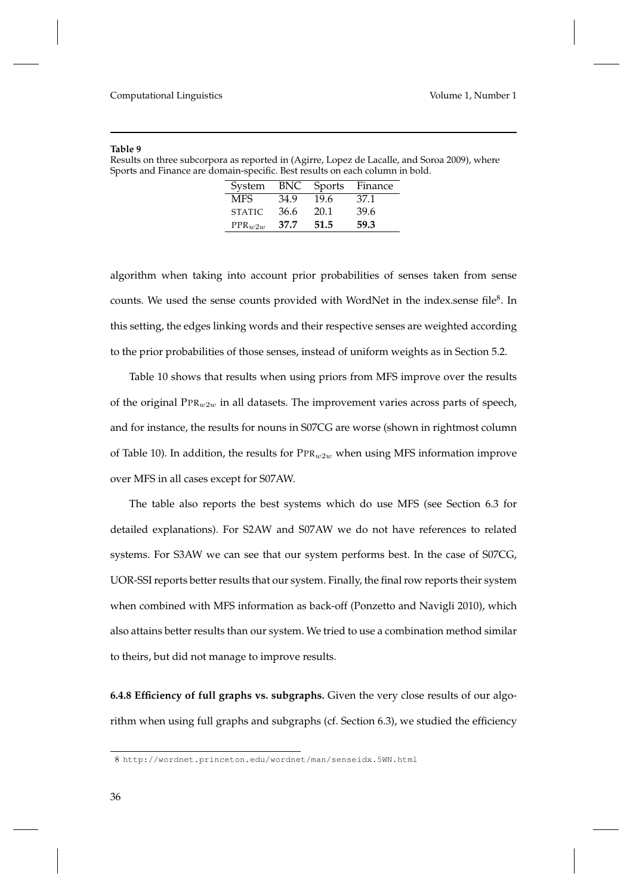#### **Table 9**

|                                                                              | Results on three subcorpora as reported in (Agirre, Lopez de Lacalle, and Soroa 2009), where |
|------------------------------------------------------------------------------|----------------------------------------------------------------------------------------------|
| Sports and Finance are domain-specific. Best results on each column in bold. |                                                                                              |

| System        | BNC  | <b>Sports</b> | Finance |
|---------------|------|---------------|---------|
| MFS.          | 34.9 | 19.6          | 37.1    |
| <b>STATIC</b> | 36.6 | 20.1          | 39.6    |
| $PPR_{11211}$ | 37.7 | 51.5          | 59.3    |

algorithm when taking into account prior probabilities of senses taken from sense counts. We used the sense counts provided with WordNet in the index.sense file $^8$ . In this setting, the edges linking words and their respective senses are weighted according to the prior probabilities of those senses, instead of uniform weights as in Section 5.2.

Table 10 shows that results when using priors from MFS improve over the results of the original  $PPR_{w2w}$  in all datasets. The improvement varies across parts of speech, and for instance, the results for nouns in S07CG are worse (shown in rightmost column of Table 10). In addition, the results for  $\text{PPR}_{w2w}$  when using MFS information improve over MFS in all cases except for S07AW.

The table also reports the best systems which do use MFS (see Section 6.3 for detailed explanations). For S2AW and S07AW we do not have references to related systems. For S3AW we can see that our system performs best. In the case of S07CG, UOR-SSI reports better results that our system. Finally, the final row reports their system when combined with MFS information as back-off (Ponzetto and Navigli 2010), which also attains better results than our system. We tried to use a combination method similar to theirs, but did not manage to improve results.

**6.4.8 Efficiency of full graphs vs. subgraphs.** Given the very close results of our algorithm when using full graphs and subgraphs (cf. Section 6.3), we studied the efficiency

<sup>8</sup> http://wordnet.princeton.edu/wordnet/man/senseidx.5WN.html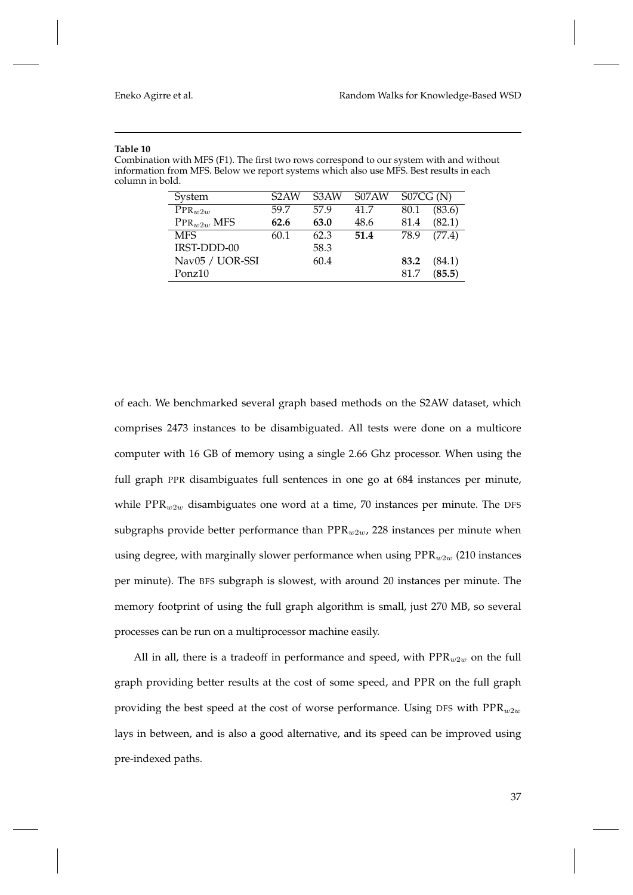#### **Table 10**

Combination with MFS (F1). The first two rows correspond to our system with and without information from MFS. Below we report systems which also use MFS. Best results in each column in bold.

| System             | S <sub>2</sub> AW | S <sub>3</sub> AW | S07AW | S07CG(N) |        |
|--------------------|-------------------|-------------------|-------|----------|--------|
| $PPR_{w2w}$        | 59.7              | 57.9              | 41.7  | 80.1     | (83.6) |
| $PPR_{w2w}$ MFS    | 62.6              | 63.0              | 48.6  | 81.4     | (82.1) |
| <b>MFS</b>         | 60.1              | 62.3              | 51.4  | 78.9     | (77.4) |
| IRST-DDD-00        |                   | 58.3              |       |          |        |
| Nav05 / UOR-SSI    |                   | 60.4              |       | 83.2     | (84.1) |
| Ponz <sub>10</sub> |                   |                   |       | 81.7     | (85.5) |

of each. We benchmarked several graph based methods on the S2AW dataset, which comprises 2473 instances to be disambiguated. All tests were done on a multicore computer with 16 GB of memory using a single 2.66 Ghz processor. When using the full graph PPR disambiguates full sentences in one go at 684 instances per minute, while  $PPR_{w2w}$  disambiguates one word at a time, 70 instances per minute. The DFS subgraphs provide better performance than  $PPR_{w2w}$ , 228 instances per minute when using degree, with marginally slower performance when using  $PPR_{w2w}$  (210 instances per minute). The BFS subgraph is slowest, with around 20 instances per minute. The memory footprint of using the full graph algorithm is small, just 270 MB, so several processes can be run on a multiprocessor machine easily.

All in all, there is a tradeoff in performance and speed, with  $PPR_{w2w}$  on the full graph providing better results at the cost of some speed, and PPR on the full graph providing the best speed at the cost of worse performance. Using DFS with  $PPR_{w2w}$ lays in between, and is also a good alternative, and its speed can be improved using pre-indexed paths.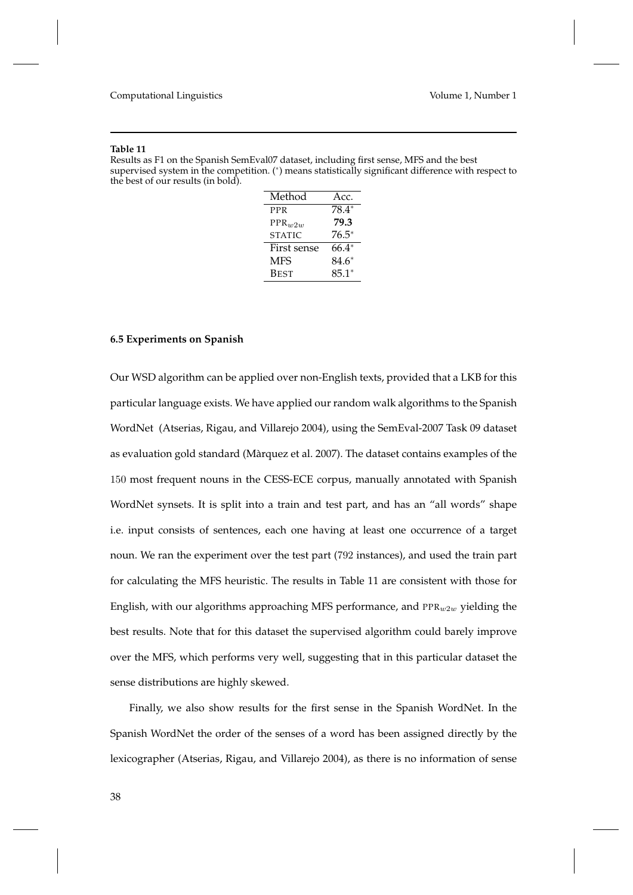#### **Table 11**

Results as F1 on the Spanish SemEval07 dataset, including first sense, MFS and the best supervised system in the competition. (\*) means statistically significant difference with respect to the best of our results (in bold).

| Method        | Acc.    |  |  |
|---------------|---------|--|--|
| <b>PPR</b>    | 78.4*   |  |  |
| $PPR_{w2w}$   | 79.3    |  |  |
| <b>STATIC</b> | $76.5*$ |  |  |
| First sense   | 66.4*   |  |  |
| MFS           | 84.6*   |  |  |
| <b>BEST</b>   | $85.1*$ |  |  |

#### **6.5 Experiments on Spanish**

Our WSD algorithm can be applied over non-English texts, provided that a LKB for this particular language exists. We have applied our random walk algorithms to the Spanish WordNet (Atserias, Rigau, and Villarejo 2004), using the SemEval-2007 Task 09 dataset as evaluation gold standard (Màrquez et al. 2007). The dataset contains examples of the 150 most frequent nouns in the CESS-ECE corpus, manually annotated with Spanish WordNet synsets. It is split into a train and test part, and has an "all words" shape i.e. input consists of sentences, each one having at least one occurrence of a target noun. We ran the experiment over the test part (792 instances), and used the train part for calculating the MFS heuristic. The results in Table 11 are consistent with those for English, with our algorithms approaching MFS performance, and  $PPR_{w2w}$  yielding the best results. Note that for this dataset the supervised algorithm could barely improve over the MFS, which performs very well, suggesting that in this particular dataset the sense distributions are highly skewed.

Finally, we also show results for the first sense in the Spanish WordNet. In the Spanish WordNet the order of the senses of a word has been assigned directly by the lexicographer (Atserias, Rigau, and Villarejo 2004), as there is no information of sense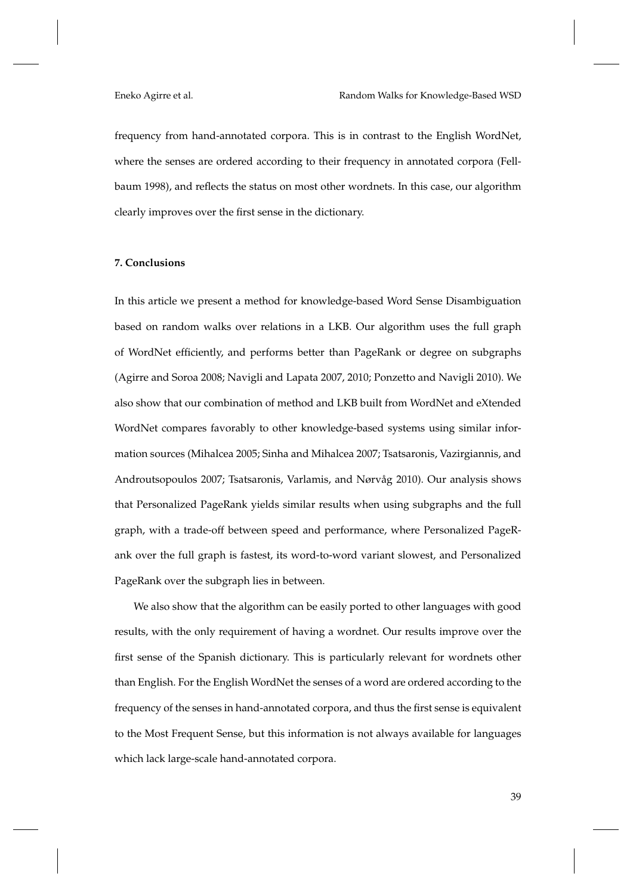frequency from hand-annotated corpora. This is in contrast to the English WordNet, where the senses are ordered according to their frequency in annotated corpora (Fellbaum 1998), and reflects the status on most other wordnets. In this case, our algorithm clearly improves over the first sense in the dictionary.

# **7. Conclusions**

In this article we present a method for knowledge-based Word Sense Disambiguation based on random walks over relations in a LKB. Our algorithm uses the full graph of WordNet efficiently, and performs better than PageRank or degree on subgraphs (Agirre and Soroa 2008; Navigli and Lapata 2007, 2010; Ponzetto and Navigli 2010). We also show that our combination of method and LKB built from WordNet and eXtended WordNet compares favorably to other knowledge-based systems using similar information sources (Mihalcea 2005; Sinha and Mihalcea 2007; Tsatsaronis, Vazirgiannis, and Androutsopoulos 2007; Tsatsaronis, Varlamis, and Nørvåg 2010). Our analysis shows that Personalized PageRank yields similar results when using subgraphs and the full graph, with a trade-off between speed and performance, where Personalized PageRank over the full graph is fastest, its word-to-word variant slowest, and Personalized PageRank over the subgraph lies in between.

We also show that the algorithm can be easily ported to other languages with good results, with the only requirement of having a wordnet. Our results improve over the first sense of the Spanish dictionary. This is particularly relevant for wordnets other than English. For the English WordNet the senses of a word are ordered according to the frequency of the senses in hand-annotated corpora, and thus the first sense is equivalent to the Most Frequent Sense, but this information is not always available for languages which lack large-scale hand-annotated corpora.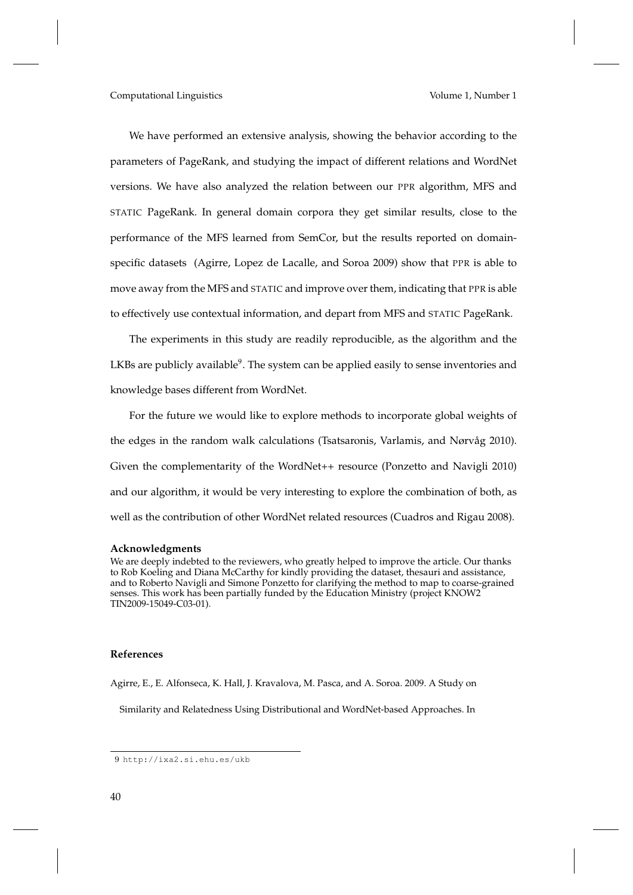We have performed an extensive analysis, showing the behavior according to the parameters of PageRank, and studying the impact of different relations and WordNet versions. We have also analyzed the relation between our PPR algorithm, MFS and STATIC PageRank. In general domain corpora they get similar results, close to the performance of the MFS learned from SemCor, but the results reported on domainspecific datasets (Agirre, Lopez de Lacalle, and Soroa 2009) show that PPR is able to move away from the MFS and STATIC and improve over them, indicating that PPR is able to effectively use contextual information, and depart from MFS and STATIC PageRank.

The experiments in this study are readily reproducible, as the algorithm and the LKBs are publicly available<sup>9</sup>. The system can be applied easily to sense inventories and knowledge bases different from WordNet.

For the future we would like to explore methods to incorporate global weights of the edges in the random walk calculations (Tsatsaronis, Varlamis, and Nørvåg 2010). Given the complementarity of the WordNet++ resource (Ponzetto and Navigli 2010) and our algorithm, it would be very interesting to explore the combination of both, as well as the contribution of other WordNet related resources (Cuadros and Rigau 2008).

#### **Acknowledgments**

We are deeply indebted to the reviewers, who greatly helped to improve the article. Our thanks to Rob Koeling and Diana McCarthy for kindly providing the dataset, thesauri and assistance, and to Roberto Navigli and Simone Ponzetto for clarifying the method to map to coarse-grained senses. This work has been partially funded by the Education Ministry (project KNOW2 TIN2009-15049-C03-01).

#### **References**

Agirre, E., E. Alfonseca, K. Hall, J. Kravalova, M. Pasca, and A. Soroa. 2009. A Study on

Similarity and Relatedness Using Distributional and WordNet-based Approaches. In

<sup>9</sup> http://ixa2.si.ehu.es/ukb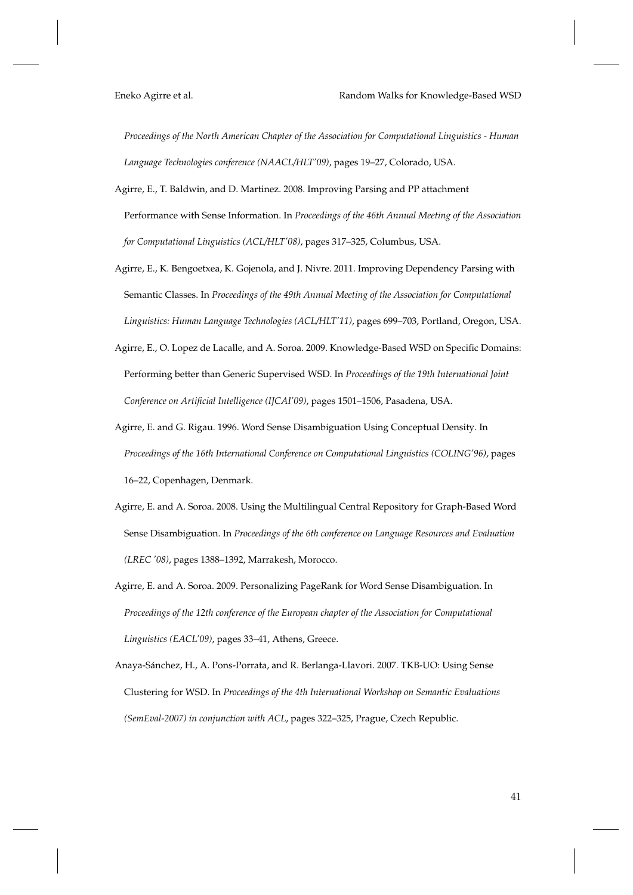*Proceedings of the North American Chapter of the Association for Computational Linguistics - Human Language Technologies conference (NAACL/HLT'09)*, pages 19–27, Colorado, USA.

- Agirre, E., T. Baldwin, and D. Martinez. 2008. Improving Parsing and PP attachment Performance with Sense Information. In *Proceedings of the 46th Annual Meeting of the Association for Computational Linguistics (ACL/HLT'08)*, pages 317–325, Columbus, USA.
- Agirre, E., K. Bengoetxea, K. Gojenola, and J. Nivre. 2011. Improving Dependency Parsing with Semantic Classes. In *Proceedings of the 49th Annual Meeting of the Association for Computational Linguistics: Human Language Technologies (ACL/HLT'11)*, pages 699–703, Portland, Oregon, USA.
- Agirre, E., O. Lopez de Lacalle, and A. Soroa. 2009. Knowledge-Based WSD on Specific Domains: Performing better than Generic Supervised WSD. In *Proceedings of the 19th International Joint Conference on Artificial Intelligence (IJCAI'09)*, pages 1501–1506, Pasadena, USA.
- Agirre, E. and G. Rigau. 1996. Word Sense Disambiguation Using Conceptual Density. In *Proceedings of the 16th International Conference on Computational Linguistics (COLING'96)*, pages 16–22, Copenhagen, Denmark.
- Agirre, E. and A. Soroa. 2008. Using the Multilingual Central Repository for Graph-Based Word Sense Disambiguation. In *Proceedings of the 6th conference on Language Resources and Evaluation (LREC '08)*, pages 1388–1392, Marrakesh, Morocco.
- Agirre, E. and A. Soroa. 2009. Personalizing PageRank for Word Sense Disambiguation. In *Proceedings of the 12th conference of the European chapter of the Association for Computational Linguistics (EACL'09)*, pages 33–41, Athens, Greece.
- Anaya-Sánchez, H., A. Pons-Porrata, and R. Berlanga-Llavori. 2007. TKB-UO: Using Sense Clustering for WSD. In *Proceedings of the 4th International Workshop on Semantic Evaluations (SemEval-2007) in conjunction with ACL*, pages 322–325, Prague, Czech Republic.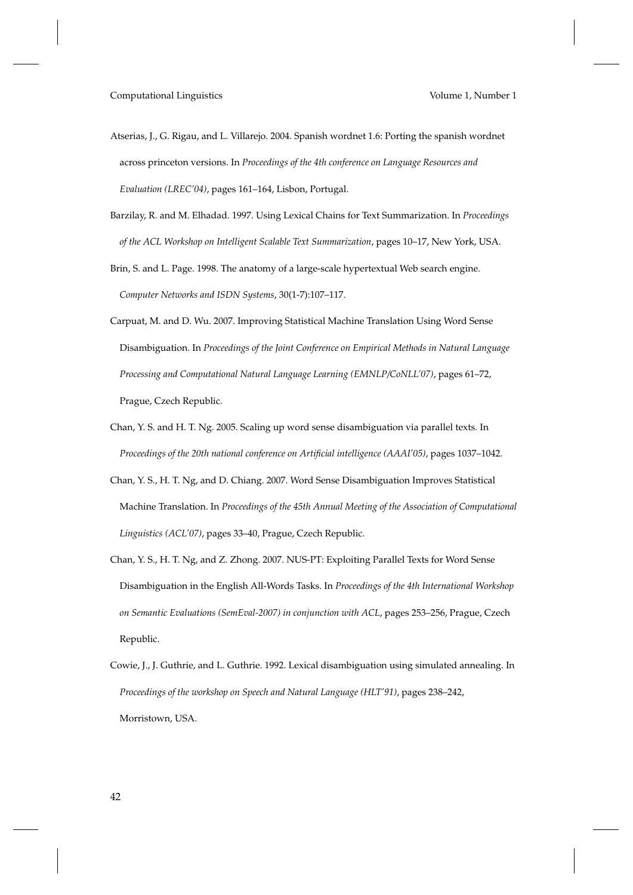- Atserias, J., G. Rigau, and L. Villarejo. 2004. Spanish wordnet 1.6: Porting the spanish wordnet across princeton versions. In *Proceedings of the 4th conference on Language Resources and Evaluation (LREC'04)*, pages 161–164, Lisbon, Portugal.
- Barzilay, R. and M. Elhadad. 1997. Using Lexical Chains for Text Summarization. In *Proceedings of the ACL Workshop on Intelligent Scalable Text Summarization*, pages 10–17, New York, USA.
- Brin, S. and L. Page. 1998. The anatomy of a large-scale hypertextual Web search engine. *Computer Networks and ISDN Systems*, 30(1-7):107–117.
- Carpuat, M. and D. Wu. 2007. Improving Statistical Machine Translation Using Word Sense Disambiguation. In *Proceedings of the Joint Conference on Empirical Methods in Natural Language Processing and Computational Natural Language Learning (EMNLP/CoNLL'07)*, pages 61–72, Prague, Czech Republic.
- Chan, Y. S. and H. T. Ng. 2005. Scaling up word sense disambiguation via parallel texts. In *Proceedings of the 20th national conference on Artificial intelligence (AAAI'05)*, pages 1037–1042.
- Chan, Y. S., H. T. Ng, and D. Chiang. 2007. Word Sense Disambiguation Improves Statistical Machine Translation. In *Proceedings of the 45th Annual Meeting of the Association of Computational Linguistics (ACL'07)*, pages 33–40, Prague, Czech Republic.
- Chan, Y. S., H. T. Ng, and Z. Zhong. 2007. NUS-PT: Exploiting Parallel Texts for Word Sense Disambiguation in the English All-Words Tasks. In *Proceedings of the 4th International Workshop on Semantic Evaluations (SemEval-2007) in conjunction with ACL*, pages 253–256, Prague, Czech Republic.
- Cowie, J., J. Guthrie, and L. Guthrie. 1992. Lexical disambiguation using simulated annealing. In *Proceedings of the workshop on Speech and Natural Language (HLT'91)*, pages 238–242, Morristown, USA.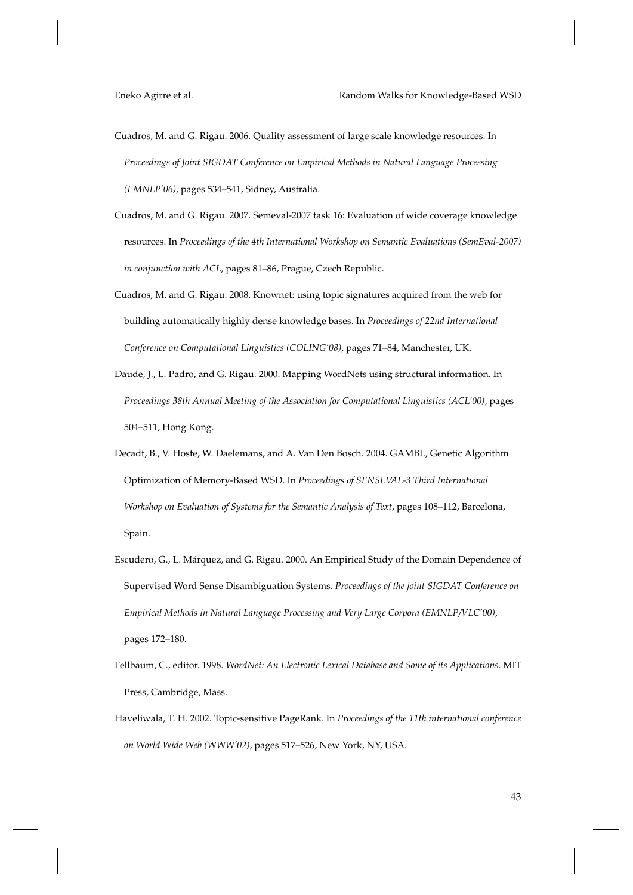- Cuadros, M. and G. Rigau. 2006. Quality assessment of large scale knowledge resources. In *Proceedings of Joint SIGDAT Conference on Empirical Methods in Natural Language Processing (EMNLP'06)*, pages 534–541, Sidney, Australia.
- Cuadros, M. and G. Rigau. 2007. Semeval-2007 task 16: Evaluation of wide coverage knowledge resources. In *Proceedings of the 4th International Workshop on Semantic Evaluations (SemEval-2007) in conjunction with ACL*, pages 81–86, Prague, Czech Republic.
- Cuadros, M. and G. Rigau. 2008. Knownet: using topic signatures acquired from the web for building automatically highly dense knowledge bases. In *Proceedings of 22nd International Conference on Computational Linguistics (COLING'08)*, pages 71–84, Manchester, UK.
- Daude, J., L. Padro, and G. Rigau. 2000. Mapping WordNets using structural information. In *Proceedings 38th Annual Meeting of the Association for Computational Linguistics (ACL'00)*, pages 504–511, Hong Kong.
- Decadt, B., V. Hoste, W. Daelemans, and A. Van Den Bosch. 2004. GAMBL, Genetic Algorithm Optimization of Memory-Based WSD. In *Proceedings of SENSEVAL-3 Third International Workshop on Evaluation of Systems for the Semantic Analysis of Text*, pages 108–112, Barcelona, Spain.
- Escudero, G., L. Márquez, and G. Rigau. 2000. An Empirical Study of the Domain Dependence of Supervised Word Sense Disambiguation Systems. *Proceedings of the joint SIGDAT Conference on Empirical Methods in Natural Language Processing and Very Large Corpora (EMNLP/VLC'00)*, pages 172–180.
- Fellbaum, C., editor. 1998. *WordNet: An Electronic Lexical Database and Some of its Applications*. MIT Press, Cambridge, Mass.
- Haveliwala, T. H. 2002. Topic-sensitive PageRank. In *Proceedings of the 11th international conference on World Wide Web (WWW'02)*, pages 517–526, New York, NY, USA.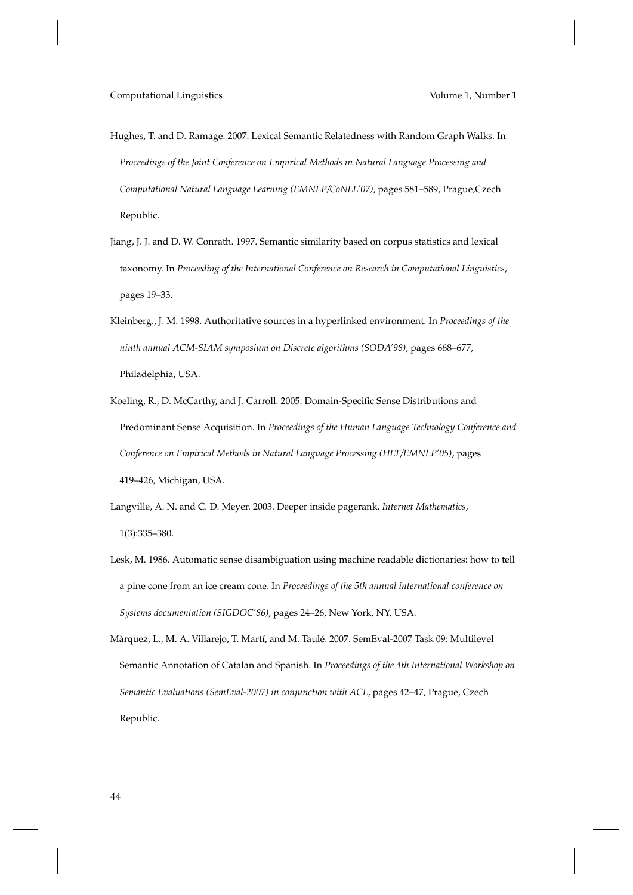- Hughes, T. and D. Ramage. 2007. Lexical Semantic Relatedness with Random Graph Walks. In *Proceedings of the Joint Conference on Empirical Methods in Natural Language Processing and Computational Natural Language Learning (EMNLP/CoNLL'07)*, pages 581–589, Prague,Czech Republic.
- Jiang, J. J. and D. W. Conrath. 1997. Semantic similarity based on corpus statistics and lexical taxonomy. In *Proceeding of the International Conference on Research in Computational Linguistics*, pages 19–33.
- Kleinberg., J. M. 1998. Authoritative sources in a hyperlinked environment. In *Proceedings of the ninth annual ACM-SIAM symposium on Discrete algorithms (SODA'98)*, pages 668–677, Philadelphia, USA.
- Koeling, R., D. McCarthy, and J. Carroll. 2005. Domain-Specific Sense Distributions and Predominant Sense Acquisition. In *Proceedings of the Human Language Technology Conference and Conference on Empirical Methods in Natural Language Processing (HLT/EMNLP'05)*, pages 419–426, Michigan, USA.
- Langville, A. N. and C. D. Meyer. 2003. Deeper inside pagerank. *Internet Mathematics*, 1(3):335–380.
- Lesk, M. 1986. Automatic sense disambiguation using machine readable dictionaries: how to tell a pine cone from an ice cream cone. In *Proceedings of the 5th annual international conference on Systems documentation (SIGDOC'86)*, pages 24–26, New York, NY, USA.
- Màrquez, L., M. A. Villarejo, T. Martí, and M. Taulé. 2007. SemEval-2007 Task 09: Multilevel Semantic Annotation of Catalan and Spanish. In *Proceedings of the 4th International Workshop on Semantic Evaluations (SemEval-2007) in conjunction with ACL*, pages 42–47, Prague, Czech Republic.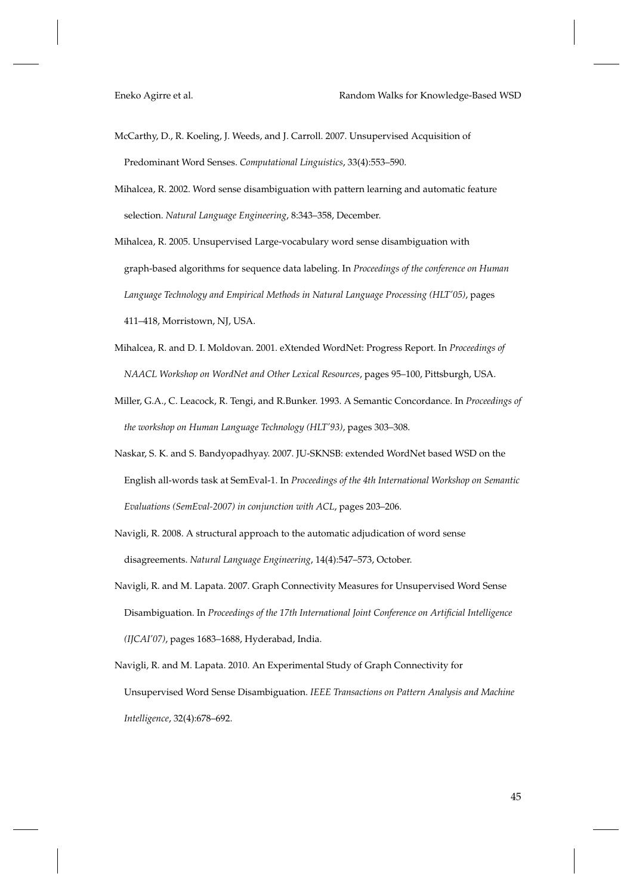- McCarthy, D., R. Koeling, J. Weeds, and J. Carroll. 2007. Unsupervised Acquisition of Predominant Word Senses. *Computational Linguistics*, 33(4):553–590.
- Mihalcea, R. 2002. Word sense disambiguation with pattern learning and automatic feature selection. *Natural Language Engineering*, 8:343–358, December.
- Mihalcea, R. 2005. Unsupervised Large-vocabulary word sense disambiguation with graph-based algorithms for sequence data labeling. In *Proceedings of the conference on Human Language Technology and Empirical Methods in Natural Language Processing (HLT'05)*, pages 411–418, Morristown, NJ, USA.
- Mihalcea, R. and D. I. Moldovan. 2001. eXtended WordNet: Progress Report. In *Proceedings of NAACL Workshop on WordNet and Other Lexical Resources*, pages 95–100, Pittsburgh, USA.
- Miller, G.A., C. Leacock, R. Tengi, and R.Bunker. 1993. A Semantic Concordance. In *Proceedings of the workshop on Human Language Technology (HLT'93)*, pages 303–308.
- Naskar, S. K. and S. Bandyopadhyay. 2007. JU-SKNSB: extended WordNet based WSD on the English all-words task at SemEval-1. In *Proceedings of the 4th International Workshop on Semantic Evaluations (SemEval-2007) in conjunction with ACL*, pages 203–206.
- Navigli, R. 2008. A structural approach to the automatic adjudication of word sense disagreements. *Natural Language Engineering*, 14(4):547–573, October.
- Navigli, R. and M. Lapata. 2007. Graph Connectivity Measures for Unsupervised Word Sense Disambiguation. In *Proceedings of the 17th International Joint Conference on Artificial Intelligence (IJCAI'07)*, pages 1683–1688, Hyderabad, India.
- Navigli, R. and M. Lapata. 2010. An Experimental Study of Graph Connectivity for Unsupervised Word Sense Disambiguation. *IEEE Transactions on Pattern Analysis and Machine Intelligence*, 32(4):678–692.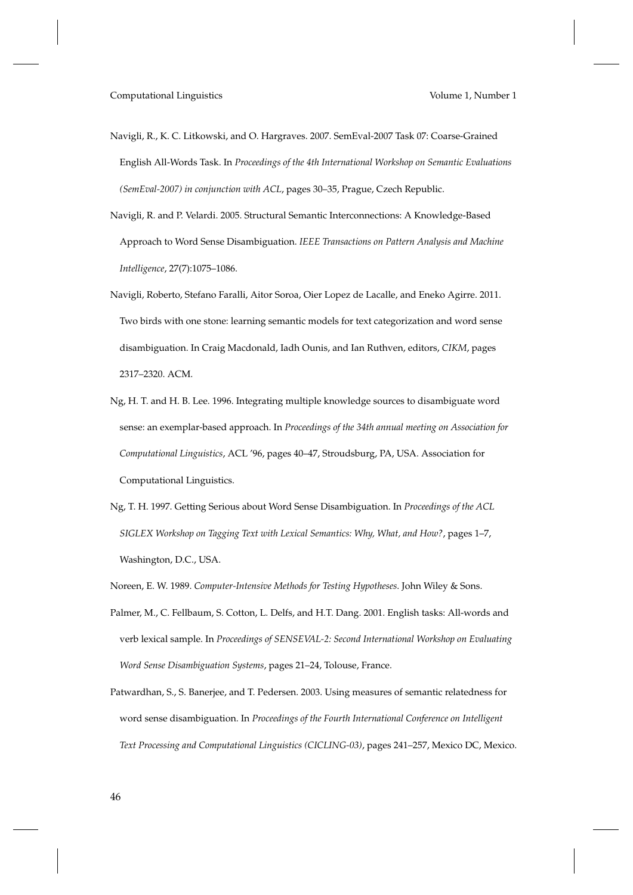- Navigli, R., K. C. Litkowski, and O. Hargraves. 2007. SemEval-2007 Task 07: Coarse-Grained English All-Words Task. In *Proceedings of the 4th International Workshop on Semantic Evaluations (SemEval-2007) in conjunction with ACL*, pages 30–35, Prague, Czech Republic.
- Navigli, R. and P. Velardi. 2005. Structural Semantic Interconnections: A Knowledge-Based Approach to Word Sense Disambiguation. *IEEE Transactions on Pattern Analysis and Machine Intelligence*, 27(7):1075–1086.
- Navigli, Roberto, Stefano Faralli, Aitor Soroa, Oier Lopez de Lacalle, and Eneko Agirre. 2011. Two birds with one stone: learning semantic models for text categorization and word sense disambiguation. In Craig Macdonald, Iadh Ounis, and Ian Ruthven, editors, *CIKM*, pages 2317–2320. ACM.
- Ng, H. T. and H. B. Lee. 1996. Integrating multiple knowledge sources to disambiguate word sense: an exemplar-based approach. In *Proceedings of the 34th annual meeting on Association for Computational Linguistics*, ACL '96, pages 40–47, Stroudsburg, PA, USA. Association for Computational Linguistics.
- Ng, T. H. 1997. Getting Serious about Word Sense Disambiguation. In *Proceedings of the ACL SIGLEX Workshop on Tagging Text with Lexical Semantics: Why, What, and How?*, pages 1–7, Washington, D.C., USA.
- Noreen, E. W. 1989. *Computer-Intensive Methods for Testing Hypotheses*. John Wiley & Sons.
- Palmer, M., C. Fellbaum, S. Cotton, L. Delfs, and H.T. Dang. 2001. English tasks: All-words and verb lexical sample. In *Proceedings of SENSEVAL-2: Second International Workshop on Evaluating Word Sense Disambiguation Systems*, pages 21–24, Tolouse, France.
- Patwardhan, S., S. Banerjee, and T. Pedersen. 2003. Using measures of semantic relatedness for word sense disambiguation. In *Proceedings of the Fourth International Conference on Intelligent Text Processing and Computational Linguistics (CICLING-03)*, pages 241–257, Mexico DC, Mexico.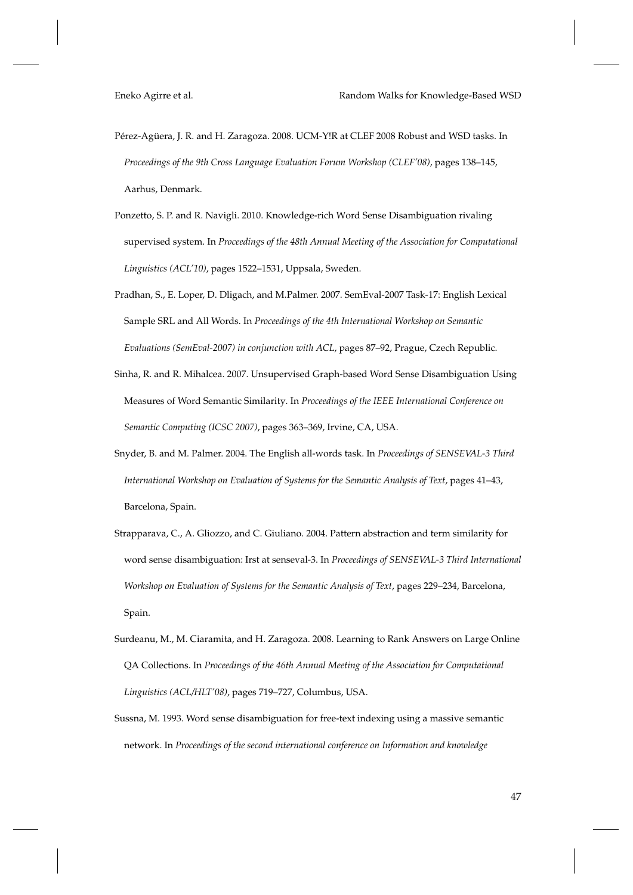- Pérez-Agüera, J. R. and H. Zaragoza. 2008. UCM-Y!R at CLEF 2008 Robust and WSD tasks. In *Proceedings of the 9th Cross Language Evaluation Forum Workshop (CLEF'08)*, pages 138–145, Aarhus, Denmark.
- Ponzetto, S. P. and R. Navigli. 2010. Knowledge-rich Word Sense Disambiguation rivaling supervised system. In *Proceedings of the 48th Annual Meeting of the Association for Computational Linguistics (ACL'10)*, pages 1522–1531, Uppsala, Sweden.
- Pradhan, S., E. Loper, D. Dligach, and M.Palmer. 2007. SemEval-2007 Task-17: English Lexical Sample SRL and All Words. In *Proceedings of the 4th International Workshop on Semantic Evaluations (SemEval-2007) in conjunction with ACL*, pages 87–92, Prague, Czech Republic.
- Sinha, R. and R. Mihalcea. 2007. Unsupervised Graph-based Word Sense Disambiguation Using Measures of Word Semantic Similarity. In *Proceedings of the IEEE International Conference on Semantic Computing (ICSC 2007)*, pages 363–369, Irvine, CA, USA.
- Snyder, B. and M. Palmer. 2004. The English all-words task. In *Proceedings of SENSEVAL-3 Third International Workshop on Evaluation of Systems for the Semantic Analysis of Text*, pages 41–43, Barcelona, Spain.
- Strapparava, C., A. Gliozzo, and C. Giuliano. 2004. Pattern abstraction and term similarity for word sense disambiguation: Irst at senseval-3. In *Proceedings of SENSEVAL-3 Third International Workshop on Evaluation of Systems for the Semantic Analysis of Text*, pages 229–234, Barcelona, Spain.
- Surdeanu, M., M. Ciaramita, and H. Zaragoza. 2008. Learning to Rank Answers on Large Online QA Collections. In *Proceedings of the 46th Annual Meeting of the Association for Computational Linguistics (ACL/HLT'08)*, pages 719–727, Columbus, USA.
- Sussna, M. 1993. Word sense disambiguation for free-text indexing using a massive semantic network. In *Proceedings of the second international conference on Information and knowledge*

47